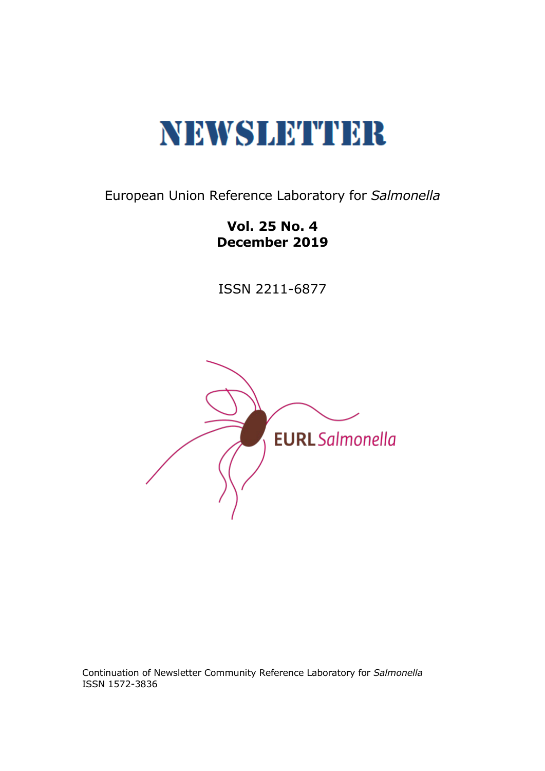

European Union Reference Laboratory for *Salmonella*

**Vol. 25 No. 4 December 2019**

ISSN 2211-6877



Continuation of Newsletter Community Reference Laboratory for *Salmonella* ISSN 1572-3836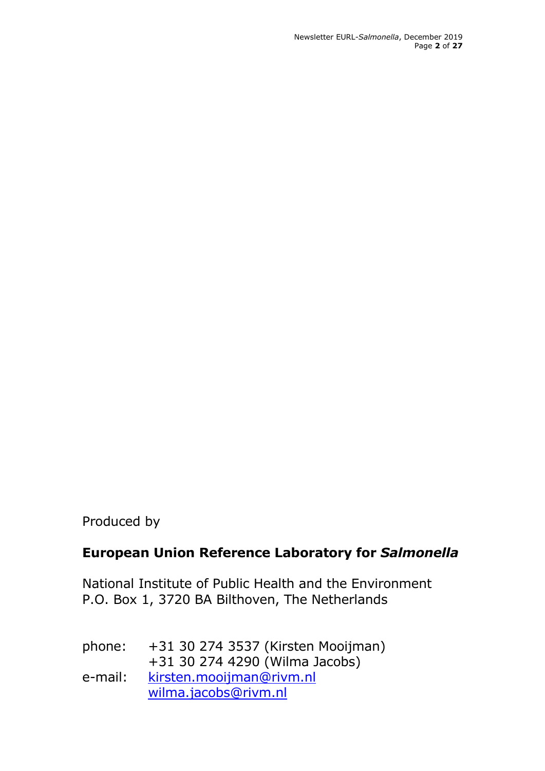Newsletter EURL-*Salmonella*, December 2019 Page **2** of **27**

Produced by

# **European Union Reference Laboratory for** *Salmonella*

National Institute of Public Health and the Environment P.O. Box 1, 3720 BA Bilthoven, The Netherlands

| phone:  | +31 30 274 3537 (Kirsten Mooijman) |  |
|---------|------------------------------------|--|
|         | +31 30 274 4290 (Wilma Jacobs)     |  |
| e-mail: | kirsten.mooijman@rivm.nl           |  |
|         | wilma.jacobs@rivm.nl               |  |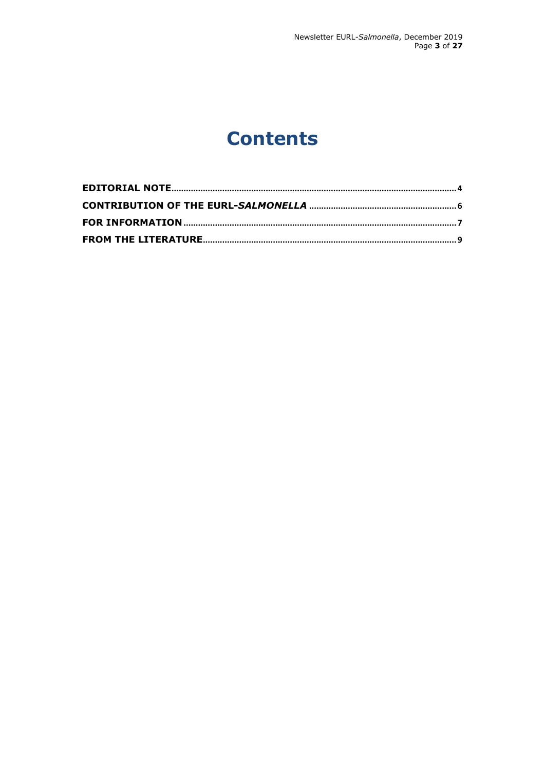# **Contents**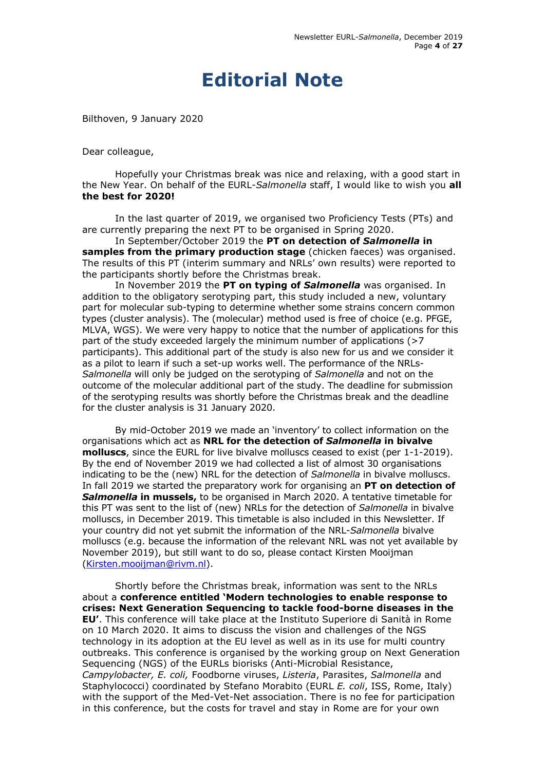# **Editorial Note**

<span id="page-3-0"></span>Bilthoven, 9 January 2020

Dear colleague,

Hopefully your Christmas break was nice and relaxing, with a good start in the New Year. On behalf of the EURL-*Salmonella* staff, I would like to wish you **all the best for 2020!**

In the last quarter of 2019, we organised two Proficiency Tests (PTs) and are currently preparing the next PT to be organised in Spring 2020.

In September/October 2019 the **PT on detection of** *Salmonella* **in samples from the primary production stage** (chicken faeces) was organised. The results of this PT (interim summary and NRLs' own results) were reported to the participants shortly before the Christmas break.

In November 2019 the **PT on typing of** *Salmonella* was organised. In addition to the obligatory serotyping part, this study included a new, voluntary part for molecular sub-typing to determine whether some strains concern common types (cluster analysis). The (molecular) method used is free of choice (e.g. PFGE, MLVA, WGS). We were very happy to notice that the number of applications for this part of the study exceeded largely the minimum number of applications (>7 participants). This additional part of the study is also new for us and we consider it as a pilot to learn if such a set-up works well. The performance of the NRLs-*Salmonella* will only be judged on the serotyping of *Salmonella* and not on the outcome of the molecular additional part of the study. The deadline for submission of the serotyping results was shortly before the Christmas break and the deadline for the cluster analysis is 31 January 2020.

By mid-October 2019 we made an 'inventory' to collect information on the organisations which act as **NRL for the detection of** *Salmonella* **in bivalve molluscs**, since the EURL for live bivalve molluscs ceased to exist (per 1-1-2019). By the end of November 2019 we had collected a list of almost 30 organisations indicating to be the (new) NRL for the detection of *Salmonella* in bivalve molluscs. In fall 2019 we started the preparatory work for organising an **PT on detection of**  *Salmonella* **in mussels,** to be organised in March 2020. A tentative timetable for this PT was sent to the list of (new) NRLs for the detection of *Salmonella* in bivalve molluscs, in December 2019. This timetable is also included in this Newsletter. If your country did not yet submit the information of the NRL-*Salmonella* bivalve molluscs (e.g. because the information of the relevant NRL was not yet available by November 2019), but still want to do so, please contact Kirsten Mooijman [\(Kirsten.mooijman@rivm.nl\)](mailto:Kirsten.mooijman@rivm.nl).

Shortly before the Christmas break, information was sent to the NRLs about a **conference entitled 'Modern technologies to enable response to crises: Next Generation Sequencing to tackle food-borne diseases in the EU'**. This conference will take place at the Instituto Superiore di Sanità in Rome on 10 March 2020. It aims to discuss the vision and challenges of the NGS technology in its adoption at the EU level as well as in its use for multi country outbreaks. This conference is organised by the working group on Next Generation Sequencing (NGS) of the EURLs biorisks (Anti-Microbial Resistance, *Campylobacter, E. coli,* Foodborne viruses, *Listeria*, Parasites, *Salmonella* and Staphylococci) coordinated by Stefano Morabito (EURL *E. coli*, ISS, Rome, Italy) with the support of the Med-Vet-Net association. There is no fee for participation in this conference, but the costs for travel and stay in Rome are for your own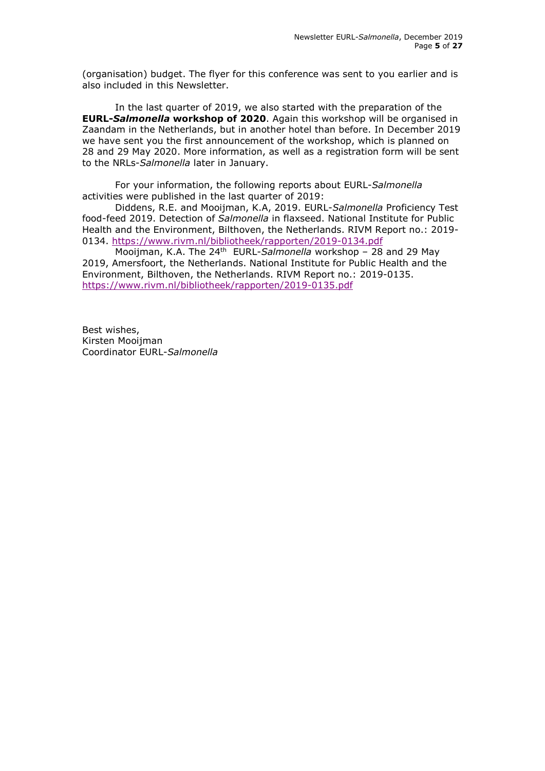(organisation) budget. The flyer for this conference was sent to you earlier and is also included in this Newsletter.

In the last quarter of 2019, we also started with the preparation of the **EURL-***Salmonella* **workshop of 2020**. Again this workshop will be organised in Zaandam in the Netherlands, but in another hotel than before. In December 2019 we have sent you the first announcement of the workshop, which is planned on 28 and 29 May 2020. More information, as well as a registration form will be sent to the NRLs-*Salmonella* later in January.

For your information, the following reports about EURL-*Salmonella*  activities were published in the last quarter of 2019:

Diddens, R.E. and Mooijman, K.A, 2019. EURL-*Salmonella* Proficiency Test food-feed 2019. Detection of *Salmonella* in flaxseed. National Institute for Public Health and the Environment, Bilthoven, the Netherlands. RIVM Report no.: 2019- 0134.<https://www.rivm.nl/bibliotheek/rapporten/2019-0134.pdf>

Mooijman, K.A. The 24th EURL-*Salmonella* workshop – 28 and 29 May 2019, Amersfoort, the Netherlands. National Institute for Public Health and the Environment, Bilthoven, the Netherlands. RIVM Report no.: 2019-0135. <https://www.rivm.nl/bibliotheek/rapporten/2019-0135.pdf>

Best wishes, Kirsten Mooijman Coordinator EURL-*Salmonella*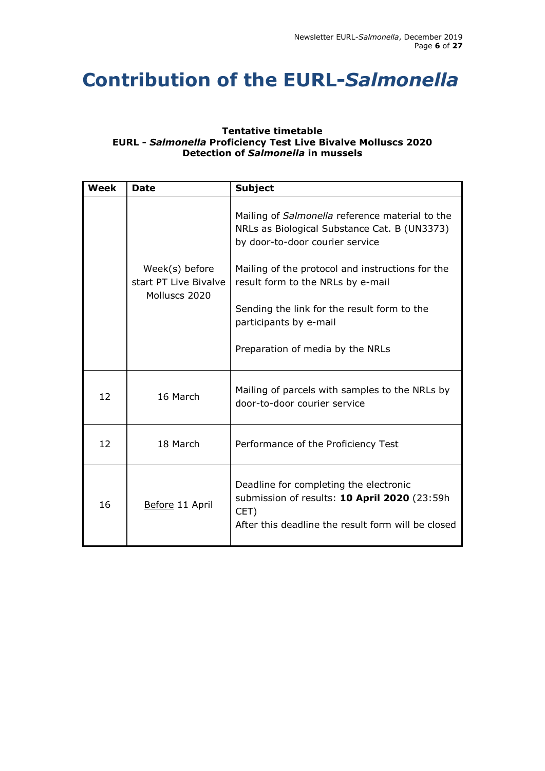# <span id="page-5-0"></span>**Contribution of the EURL-***Salmonella*

# **Tentative timetable EURL -** *Salmonella* **Proficiency Test Live Bivalve Molluscs 2020 Detection of** *Salmonella* **in mussels**

| <b>Week</b> | <b>Date</b>                                              | <b>Subject</b>                                                                                                                                       |  |
|-------------|----------------------------------------------------------|------------------------------------------------------------------------------------------------------------------------------------------------------|--|
|             |                                                          | Mailing of Salmonella reference material to the<br>NRLs as Biological Substance Cat. B (UN3373)<br>by door-to-door courier service                   |  |
|             | Week(s) before<br>start PT Live Bivalve<br>Molluscs 2020 | Mailing of the protocol and instructions for the<br>result form to the NRLs by e-mail                                                                |  |
|             |                                                          | Sending the link for the result form to the<br>participants by e-mail                                                                                |  |
|             |                                                          | Preparation of media by the NRLs                                                                                                                     |  |
| 12          | 16 March                                                 | Mailing of parcels with samples to the NRLs by<br>door-to-door courier service                                                                       |  |
| 12          | 18 March                                                 | Performance of the Proficiency Test                                                                                                                  |  |
| 16          | Before 11 April                                          | Deadline for completing the electronic<br>submission of results: 10 April 2020 (23:59h<br>CET)<br>After this deadline the result form will be closed |  |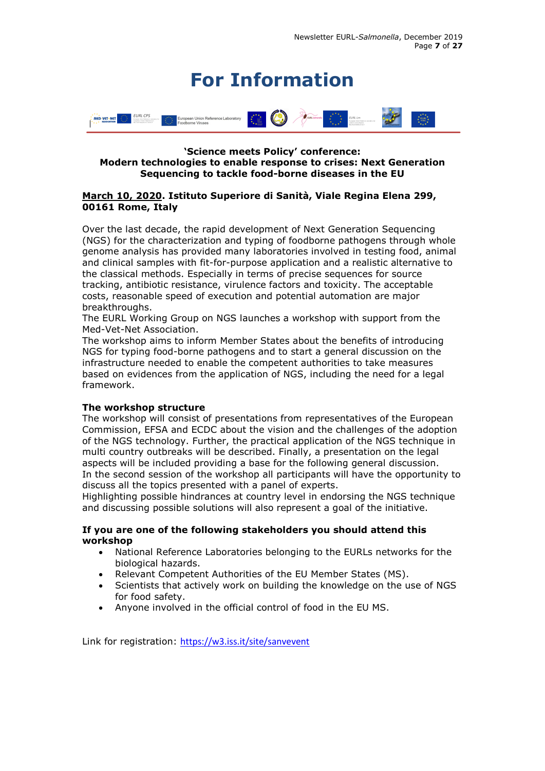# **For Information**

<span id="page-6-0"></span>

# **'Science meets Policy' conference: Modern technologies to enable response to crises: Next Generation Sequencing to tackle food-borne diseases in the EU**

# **March 10, 2020. Istituto Superiore di Sanità, Viale Regina Elena 299, 00161 Rome, Italy**

Over the last decade, the rapid development of Next Generation Sequencing (NGS) for the characterization and typing of foodborne pathogens through whole genome analysis has provided many laboratories involved in testing food, animal and clinical samples with fit-for-purpose application and a realistic alternative to the classical methods. Especially in terms of precise sequences for source tracking, antibiotic resistance, virulence factors and toxicity. The acceptable costs, reasonable speed of execution and potential automation are major breakthroughs.

The EURL Working Group on NGS launches a workshop with support from the Med-Vet-Net Association.

The workshop aims to inform Member States about the benefits of introducing NGS for typing food-borne pathogens and to start a general discussion on the infrastructure needed to enable the competent authorities to take measures based on evidences from the application of NGS, including the need for a legal framework.

# **The workshop structure**

The workshop will consist of presentations from representatives of the European Commission, EFSA and ECDC about the vision and the challenges of the adoption of the NGS technology. Further, the practical application of the NGS technique in multi country outbreaks will be described. Finally, a presentation on the legal aspects will be included providing a base for the following general discussion. In the second session of the workshop all participants will have the opportunity to discuss all the topics presented with a panel of experts.

Highlighting possible hindrances at country level in endorsing the NGS technique and discussing possible solutions will also represent a goal of the initiative.

# **If you are one of the following stakeholders you should attend this workshop**

- National Reference Laboratories belonging to the EURLs networks for the biological hazards.
- Relevant Competent Authorities of the EU Member States (MS).
- Scientists that actively work on building the knowledge on the use of NGS for food safety.
- Anyone involved in the official control of food in the EU MS.

Link for registration: <https://w3.iss.it/site/sanvevent>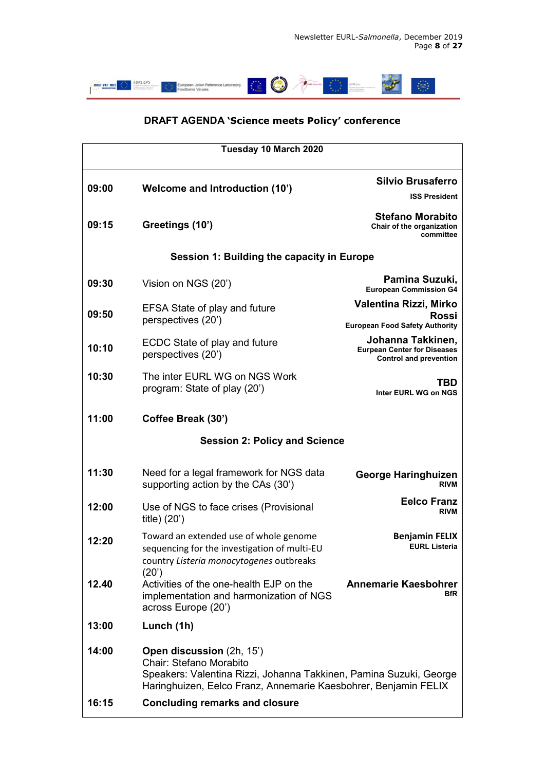

# **DRAFT AGENDA 'Science meets Policy' conference**

| Tuesday 10 March 2020                      |                                                                                                                                                                                               |                                                                                          |  |  |
|--------------------------------------------|-----------------------------------------------------------------------------------------------------------------------------------------------------------------------------------------------|------------------------------------------------------------------------------------------|--|--|
| 09:00                                      | <b>Welcome and Introduction (10')</b>                                                                                                                                                         | <b>Silvio Brusaferro</b>                                                                 |  |  |
|                                            |                                                                                                                                                                                               | <b>ISS President</b>                                                                     |  |  |
| 09:15                                      | Greetings (10')                                                                                                                                                                               | <b>Stefano Morabito</b><br>Chair of the organization<br>committee                        |  |  |
| Session 1: Building the capacity in Europe |                                                                                                                                                                                               |                                                                                          |  |  |
| 09:30                                      | Vision on NGS (20')                                                                                                                                                                           | Pamina Suzuki,<br><b>European Commission G4</b>                                          |  |  |
| 09:50                                      | <b>EFSA State of play and future</b><br>perspectives (20')                                                                                                                                    | Valentina Rizzi, Mirko<br><b>Rossi</b><br><b>European Food Safety Authority</b>          |  |  |
| 10:10                                      | ECDC State of play and future<br>perspectives (20')                                                                                                                                           | Johanna Takkinen,<br><b>Eurpean Center for Diseases</b><br><b>Control and prevention</b> |  |  |
| 10:30                                      | The inter EURL WG on NGS Work<br>program: State of play (20')                                                                                                                                 | TBD<br>Inter EURL WG on NGS                                                              |  |  |
| 11:00                                      | Coffee Break (30')                                                                                                                                                                            |                                                                                          |  |  |
| <b>Session 2: Policy and Science</b>       |                                                                                                                                                                                               |                                                                                          |  |  |
| 11:30                                      | Need for a legal framework for NGS data<br>supporting action by the CAs (30')                                                                                                                 | <b>George Haringhuizen</b><br><b>RIVM</b>                                                |  |  |
| 12:00                                      | Use of NGS to face crises (Provisional<br>title) (20')                                                                                                                                        | <b>Eelco Franz</b><br><b>RIVM</b>                                                        |  |  |
| 12:20                                      | Toward an extended use of whole genome<br>sequencing for the investigation of multi-EU<br>country Listeria monocytogenes outbreaks<br>(20')                                                   | <b>Benjamin FELIX</b><br><b>EURL Listeria</b>                                            |  |  |
| 12.40                                      | Activities of the one-health EJP on the<br>implementation and harmonization of NGS<br>across Europe (20')                                                                                     | <b>Annemarie Kaesbohrer</b><br>BfR                                                       |  |  |
| 13:00                                      | Lunch (1h)                                                                                                                                                                                    |                                                                                          |  |  |
| 14:00                                      | Open discussion (2h, 15')<br>Chair: Stefano Morabito<br>Speakers: Valentina Rizzi, Johanna Takkinen, Pamina Suzuki, George<br>Haringhuizen, Eelco Franz, Annemarie Kaesbohrer, Benjamin FELIX |                                                                                          |  |  |
| 16:15                                      | <b>Concluding remarks and closure</b>                                                                                                                                                         |                                                                                          |  |  |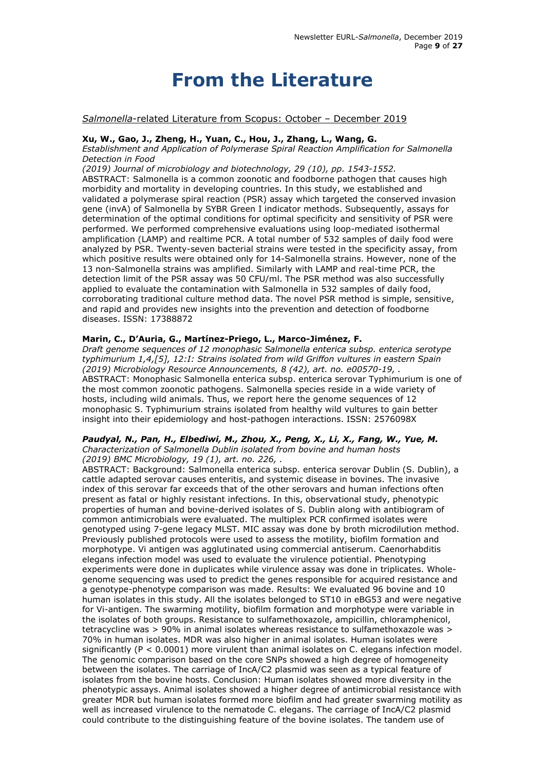# **From the Literature**

# <span id="page-8-0"></span>*Salmonella*-related Literature from Scopus: October – December 2019

# **Xu, W., Gao, J., Zheng, H., Yuan, C., Hou, J., Zhang, L., Wang, G.**

*Establishment and Application of Polymerase Spiral Reaction Amplification for Salmonella Detection in Food*

*(2019) Journal of microbiology and biotechnology, 29 (10), pp. 1543-1552.* 

ABSTRACT: Salmonella is a common zoonotic and foodborne pathogen that causes high morbidity and mortality in developing countries. In this study, we established and validated a polymerase spiral reaction (PSR) assay which targeted the conserved invasion gene (invA) of Salmonella by SYBR Green I indicator methods. Subsequently, assays for determination of the optimal conditions for optimal specificity and sensitivity of PSR were performed. We performed comprehensive evaluations using loop-mediated isothermal amplification (LAMP) and realtime PCR. A total number of 532 samples of daily food were analyzed by PSR. Twenty-seven bacterial strains were tested in the specificity assay, from which positive results were obtained only for 14-Salmonella strains. However, none of the 13 non-Salmonella strains was amplified. Similarly with LAMP and real-time PCR, the detection limit of the PSR assay was 50 CFU/ml. The PSR method was also successfully applied to evaluate the contamination with Salmonella in 532 samples of daily food, corroborating traditional culture method data. The novel PSR method is simple, sensitive, and rapid and provides new insights into the prevention and detection of foodborne diseases. ISSN: 17388872

# **Marin, C., D'Auria, G., Martínez-Priego, L., Marco-Jiménez, F.**

*Draft genome sequences of 12 monophasic Salmonella enterica subsp. enterica serotype typhimurium 1,4,[5], 12:I: Strains isolated from wild Griffon vultures in eastern Spain (2019) Microbiology Resource Announcements, 8 (42), art. no. e00570-19, .*  ABSTRACT: Monophasic Salmonella enterica subsp. enterica serovar Typhimurium is one of the most common zoonotic pathogens. Salmonella species reside in a wide variety of hosts, including wild animals. Thus, we report here the genome sequences of 12 monophasic S. Typhimurium strains isolated from healthy wild vultures to gain better insight into their epidemiology and host-pathogen interactions. ISSN: 2576098X

#### *Paudyal, N., Pan, H., Elbediwi, M., Zhou, X., Peng, X., Li, X., Fang, W., Yue, M. Characterization of Salmonella Dublin isolated from bovine and human hosts (2019) BMC Microbiology, 19 (1), art. no. 226, .*

ABSTRACT: Background: Salmonella enterica subsp. enterica serovar Dublin (S. Dublin), a cattle adapted serovar causes enteritis, and systemic disease in bovines. The invasive index of this serovar far exceeds that of the other serovars and human infections often present as fatal or highly resistant infections. In this, observational study, phenotypic properties of human and bovine-derived isolates of S. Dublin along with antibiogram of common antimicrobials were evaluated. The multiplex PCR confirmed isolates were genotyped using 7-gene legacy MLST. MIC assay was done by broth microdilution method. Previously published protocols were used to assess the motility, biofilm formation and morphotype. Vi antigen was agglutinated using commercial antiserum. Caenorhabditis elegans infection model was used to evaluate the virulence potiential. Phenotyping experiments were done in duplicates while virulence assay was done in triplicates. Wholegenome sequencing was used to predict the genes responsible for acquired resistance and a genotype-phenotype comparison was made. Results: We evaluated 96 bovine and 10 human isolates in this study. All the isolates belonged to ST10 in eBG53 and were negative for Vi-antigen. The swarming motility, biofilm formation and morphotype were variable in the isolates of both groups. Resistance to sulfamethoxazole, ampicillin, chloramphenicol, tetracycline was > 90% in animal isolates whereas resistance to sulfamethoxazole was > 70% in human isolates. MDR was also higher in animal isolates. Human isolates were significantly (P < 0.0001) more virulent than animal isolates on C. elegans infection model. The genomic comparison based on the core SNPs showed a high degree of homogeneity between the isolates. The carriage of IncA/C2 plasmid was seen as a typical feature of isolates from the bovine hosts. Conclusion: Human isolates showed more diversity in the phenotypic assays. Animal isolates showed a higher degree of antimicrobial resistance with greater MDR but human isolates formed more biofilm and had greater swarming motility as well as increased virulence to the nematode C. elegans. The carriage of IncA/C2 plasmid could contribute to the distinguishing feature of the bovine isolates. The tandem use of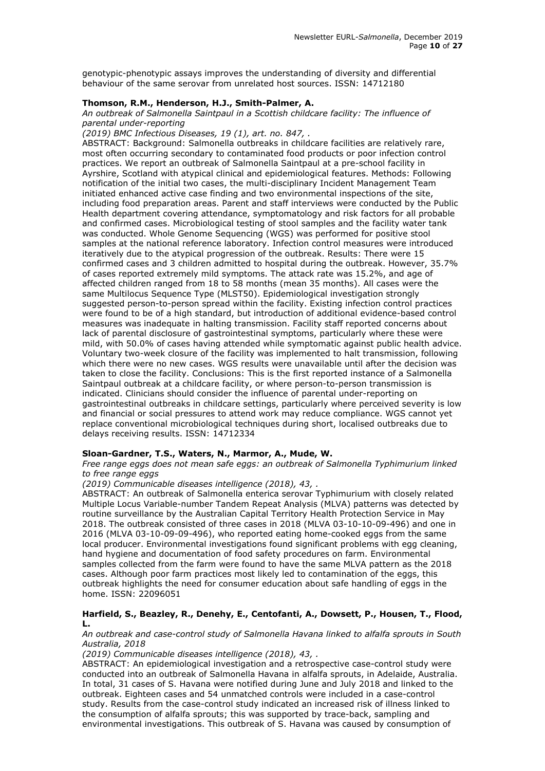genotypic-phenotypic assays improves the understanding of diversity and differential behaviour of the same serovar from unrelated host sources. ISSN: 14712180

#### **Thomson, R.M., Henderson, H.J., Smith-Palmer, A.**

#### *An outbreak of Salmonella Saintpaul in a Scottish childcare facility: The influence of parental under-reporting*

#### *(2019) BMC Infectious Diseases, 19 (1), art. no. 847, .*

ABSTRACT: Background: Salmonella outbreaks in childcare facilities are relatively rare, most often occurring secondary to contaminated food products or poor infection control practices. We report an outbreak of Salmonella Saintpaul at a pre-school facility in Ayrshire, Scotland with atypical clinical and epidemiological features. Methods: Following notification of the initial two cases, the multi-disciplinary Incident Management Team initiated enhanced active case finding and two environmental inspections of the site, including food preparation areas. Parent and staff interviews were conducted by the Public Health department covering attendance, symptomatology and risk factors for all probable and confirmed cases. Microbiological testing of stool samples and the facility water tank was conducted. Whole Genome Sequencing (WGS) was performed for positive stool samples at the national reference laboratory. Infection control measures were introduced iteratively due to the atypical progression of the outbreak. Results: There were 15 confirmed cases and 3 children admitted to hospital during the outbreak. However, 35.7% of cases reported extremely mild symptoms. The attack rate was 15.2%, and age of affected children ranged from 18 to 58 months (mean 35 months). All cases were the same Multilocus Sequence Type (MLST50). Epidemiological investigation strongly suggested person-to-person spread within the facility. Existing infection control practices were found to be of a high standard, but introduction of additional evidence-based control measures was inadequate in halting transmission. Facility staff reported concerns about lack of parental disclosure of gastrointestinal symptoms, particularly where these were mild, with 50.0% of cases having attended while symptomatic against public health advice. Voluntary two-week closure of the facility was implemented to halt transmission, following which there were no new cases. WGS results were unavailable until after the decision was taken to close the facility. Conclusions: This is the first reported instance of a Salmonella Saintpaul outbreak at a childcare facility, or where person-to-person transmission is indicated. Clinicians should consider the influence of parental under-reporting on gastrointestinal outbreaks in childcare settings, particularly where perceived severity is low and financial or social pressures to attend work may reduce compliance. WGS cannot yet replace conventional microbiological techniques during short, localised outbreaks due to delays receiving results. ISSN: 14712334

#### **Sloan-Gardner, T.S., Waters, N., Marmor, A., Mude, W.**

*Free range eggs does not mean safe eggs: an outbreak of Salmonella Typhimurium linked to free range eggs*

*(2019) Communicable diseases intelligence (2018), 43, .* 

ABSTRACT: An outbreak of Salmonella enterica serovar Typhimurium with closely related Multiple Locus Variable-number Tandem Repeat Analysis (MLVA) patterns was detected by routine surveillance by the Australian Capital Territory Health Protection Service in May 2018. The outbreak consisted of three cases in 2018 (MLVA 03-10-10-09-496) and one in 2016 (MLVA 03-10-09-09-496), who reported eating home-cooked eggs from the same local producer. Environmental investigations found significant problems with egg cleaning, hand hygiene and documentation of food safety procedures on farm. Environmental samples collected from the farm were found to have the same MLVA pattern as the 2018 cases. Although poor farm practices most likely led to contamination of the eggs, this outbreak highlights the need for consumer education about safe handling of eggs in the home. ISSN: 22096051

#### **Harfield, S., Beazley, R., Denehy, E., Centofanti, A., Dowsett, P., Housen, T., Flood, L.**

*An outbreak and case-control study of Salmonella Havana linked to alfalfa sprouts in South Australia, 2018*

*(2019) Communicable diseases intelligence (2018), 43, .* 

ABSTRACT: An epidemiological investigation and a retrospective case-control study were conducted into an outbreak of Salmonella Havana in alfalfa sprouts, in Adelaide, Australia. In total, 31 cases of S. Havana were notified during June and July 2018 and linked to the outbreak. Eighteen cases and 54 unmatched controls were included in a case-control study. Results from the case-control study indicated an increased risk of illness linked to the consumption of alfalfa sprouts; this was supported by trace-back, sampling and environmental investigations. This outbreak of S. Havana was caused by consumption of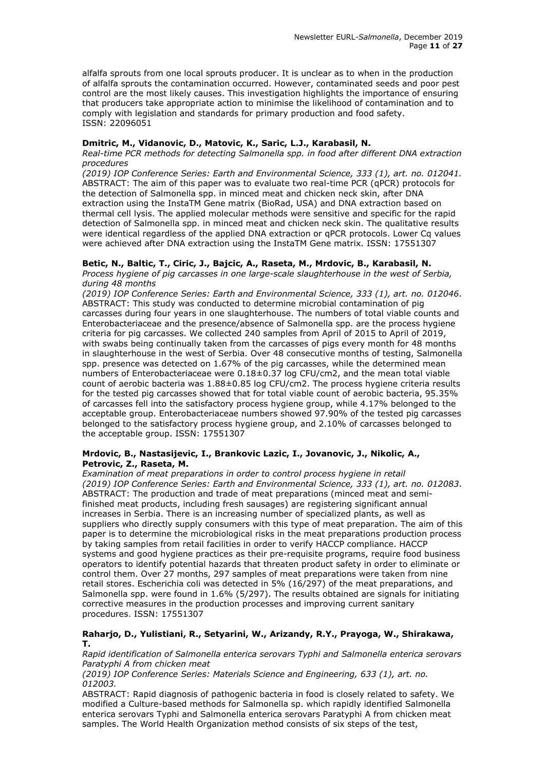alfalfa sprouts from one local sprouts producer. It is unclear as to when in the production of alfalfa sprouts the contamination occurred. However, contaminated seeds and poor pest control are the most likely causes. This investigation highlights the importance of ensuring that producers take appropriate action to minimise the likelihood of contamination and to comply with legislation and standards for primary production and food safety. ISSN: 22096051

# **Dmitric, M., Vidanovic, D., Matovic, K., Saric, L.J., Karabasil, N.**

*Real-time PCR methods for detecting Salmonella spp. in food after different DNA extraction procedures*

*(2019) IOP Conference Series: Earth and Environmental Science, 333 (1), art. no. 012041.* ABSTRACT: The aim of this paper was to evaluate two real-time PCR (qPCR) protocols for the detection of Salmonella spp. in minced meat and chicken neck skin, after DNA extraction using the InstaTM Gene matrix (BioRad, USA) and DNA extraction based on thermal cell lysis. The applied molecular methods were sensitive and specific for the rapid detection of Salmonella spp. in minced meat and chicken neck skin. The qualitative results were identical regardless of the applied DNA extraction or qPCR protocols. Lower Cq values were achieved after DNA extraction using the InstaTM Gene matrix. ISSN: 17551307

# **Betic, N., Baltic, T., Ciric, J., Bajcic, A., Raseta, M., Mrdovic, B., Karabasil, N.**

*Process hygiene of pig carcasses in one large-scale slaughterhouse in the west of Serbia, during 48 months*

*(2019) IOP Conference Series: Earth and Environmental Science, 333 (1), art. no. 012046*. ABSTRACT: This study was conducted to determine microbial contamination of pig carcasses during four years in one slaughterhouse. The numbers of total viable counts and Enterobacteriaceae and the presence/absence of Salmonella spp. are the process hygiene criteria for pig carcasses. We collected 240 samples from April of 2015 to April of 2019, with swabs being continually taken from the carcasses of pigs every month for 48 months in slaughterhouse in the west of Serbia. Over 48 consecutive months of testing, Salmonella spp. presence was detected on 1.67% of the pig carcasses, while the determined mean numbers of Enterobacteriaceae were 0.18±0.37 log CFU/cm2, and the mean total viable count of aerobic bacteria was 1.88±0.85 log CFU/cm2. The process hygiene criteria results for the tested pig carcasses showed that for total viable count of aerobic bacteria, 95.35% of carcasses fell into the satisfactory process hygiene group, while 4.17% belonged to the acceptable group. Enterobacteriaceae numbers showed 97.90% of the tested pig carcasses belonged to the satisfactory process hygiene group, and 2.10% of carcasses belonged to the acceptable group. ISSN: 17551307

# **Mrdovic, B., Nastasijevic, I., Brankovic Lazic, I., Jovanovic, J., Nikolic, A., Petrovic, Z., Raseta, M.**

*Examination of meat preparations in order to control process hygiene in retail (2019) IOP Conference Series: Earth and Environmental Science, 333 (1), art. no. 012083*. ABSTRACT: The production and trade of meat preparations (minced meat and semifinished meat products, including fresh sausages) are registering significant annual increases in Serbia. There is an increasing number of specialized plants, as well as suppliers who directly supply consumers with this type of meat preparation. The aim of this paper is to determine the microbiological risks in the meat preparations production process by taking samples from retail facilities in order to verify HACCP compliance. HACCP systems and good hygiene practices as their pre-requisite programs, require food business operators to identify potential hazards that threaten product safety in order to eliminate or control them. Over 27 months, 297 samples of meat preparations were taken from nine retail stores. Escherichia coli was detected in 5% (16/297) of the meat preparations, and Salmonella spp. were found in 1.6% (5/297). The results obtained are signals for initiating corrective measures in the production processes and improving current sanitary procedures. ISSN: 17551307

#### **Raharjo, D., Yulistiani, R., Setyarini, W., Arizandy, R.Y., Prayoga, W., Shirakawa, T.**

*Rapid identification of Salmonella enterica serovars Typhi and Salmonella enterica serovars Paratyphi A from chicken meat*

*(2019) IOP Conference Series: Materials Science and Engineering, 633 (1), art. no. 012003.* 

ABSTRACT: Rapid diagnosis of pathogenic bacteria in food is closely related to safety. We modified a Culture-based methods for Salmonella sp. which rapidly identified Salmonella enterica serovars Typhi and Salmonella enterica serovars Paratyphi A from chicken meat samples. The World Health Organization method consists of six steps of the test,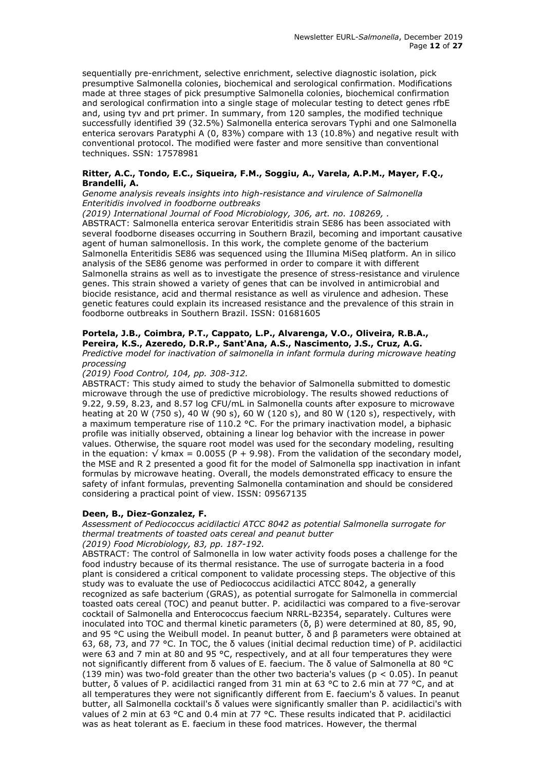sequentially pre-enrichment, selective enrichment, selective diagnostic isolation, pick presumptive Salmonella colonies, biochemical and serological confirmation. Modifications made at three stages of pick presumptive Salmonella colonies, biochemical confirmation and serological confirmation into a single stage of molecular testing to detect genes rfbE and, using tyv and prt primer. In summary, from 120 samples, the modified technique successfully identified 39 (32.5%) Salmonella enterica serovars Typhi and one Salmonella enterica serovars Paratyphi A (0, 83%) compare with 13 (10.8%) and negative result with conventional protocol. The modified were faster and more sensitive than conventional techniques. SSN: 17578981

# **Ritter, A.C., Tondo, E.C., Siqueira, F.M., Soggiu, A., Varela, A.P.M., Mayer, F.Q., Brandelli, A.**

*Genome analysis reveals insights into high-resistance and virulence of Salmonella Enteritidis involved in foodborne outbreaks*

*(2019) International Journal of Food Microbiology, 306, art. no. 108269, .* 

ABSTRACT: Salmonella enterica serovar Enteritidis strain SE86 has been associated with several foodborne diseases occurring in Southern Brazil, becoming and important causative agent of human salmonellosis. In this work, the complete genome of the bacterium Salmonella Enteritidis SE86 was sequenced using the Illumina MiSeq platform. An in silico analysis of the SE86 genome was performed in order to compare it with different Salmonella strains as well as to investigate the presence of stress-resistance and virulence genes. This strain showed a variety of genes that can be involved in antimicrobial and biocide resistance, acid and thermal resistance as well as virulence and adhesion. These genetic features could explain its increased resistance and the prevalence of this strain in foodborne outbreaks in Southern Brazil. ISSN: 01681605

# **Portela, J.B., Coimbra, P.T., Cappato, L.P., Alvarenga, V.O., Oliveira, R.B.A., Pereira, K.S., Azeredo, D.R.P., Sant'Ana, A.S., Nascimento, J.S., Cruz, A.G.**

*Predictive model for inactivation of salmonella in infant formula during microwave heating processing*

*(2019) Food Control, 104, pp. 308-312.* 

ABSTRACT: This study aimed to study the behavior of Salmonella submitted to domestic microwave through the use of predictive microbiology. The results showed reductions of 9.22, 9.59, 8.23, and 8.57 log CFU/mL in Salmonella counts after exposure to microwave heating at 20 W (750 s), 40 W (90 s), 60 W (120 s), and 80 W (120 s), respectively, with a maximum temperature rise of 110.2 °C. For the primary inactivation model, a biphasic profile was initially observed, obtaining a linear log behavior with the increase in power values. Otherwise, the square root model was used for the secondary modeling, resulting in the equation:  $\sqrt{kmax} = 0.0055 (P + 9.98)$ . From the validation of the secondary model, the MSE and R 2 presented a good fit for the model of Salmonella spp inactivation in infant formulas by microwave heating. Overall, the models demonstrated efficacy to ensure the safety of infant formulas, preventing Salmonella contamination and should be considered considering a practical point of view. ISSN: 09567135

# **Deen, B., Diez-Gonzalez, F.**

*Assessment of Pediococcus acidilactici ATCC 8042 as potential Salmonella surrogate for thermal treatments of toasted oats cereal and peanut butter (2019) Food Microbiology, 83, pp. 187-192.* 

ABSTRACT: The control of Salmonella in low water activity foods poses a challenge for the food industry because of its thermal resistance. The use of surrogate bacteria in a food plant is considered a critical component to validate processing steps. The objective of this study was to evaluate the use of Pediococcus acidilactici ATCC 8042, a generally recognized as safe bacterium (GRAS), as potential surrogate for Salmonella in commercial toasted oats cereal (TOC) and peanut butter. P. acidilactici was compared to a five-serovar cocktail of Salmonella and Enterococcus faecium NRRL-B2354, separately. Cultures were inoculated into TOC and thermal kinetic parameters (δ, β) were determined at 80, 85, 90, and 95 °C using the Weibull model. In peanut butter,  $\delta$  and β parameters were obtained at 63, 68, 73, and 77 °C. In TOC, the δ values (initial decimal reduction time) of P. acidilactici were 63 and 7 min at 80 and 95 °C, respectively, and at all four temperatures they were not significantly different from δ values of E. faecium. The δ value of Salmonella at 80 °C (139 min) was two-fold greater than the other two bacteria's values ( $p < 0.05$ ). In peanut butter, δ values of P. acidilactici ranged from 31 min at 63 °C to 2.6 min at 77 °C, and at all temperatures they were not significantly different from E. faecium's δ values. In peanut butter, all Salmonella cocktail's δ values were significantly smaller than P. acidilactici's with values of 2 min at 63 °C and 0.4 min at 77 °C. These results indicated that P. acidilactici was as heat tolerant as E. faecium in these food matrices. However, the thermal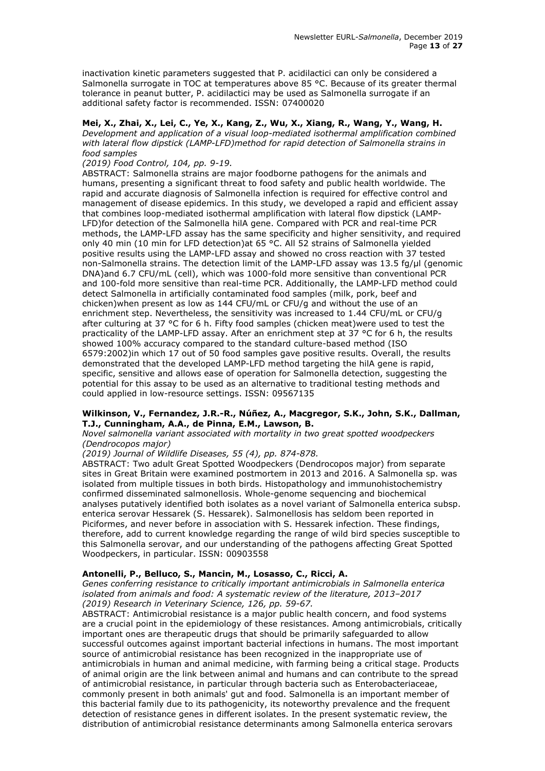inactivation kinetic parameters suggested that P. acidilactici can only be considered a Salmonella surrogate in TOC at temperatures above 85 °C. Because of its greater thermal tolerance in peanut butter, P. acidilactici may be used as Salmonella surrogate if an additional safety factor is recommended. ISSN: 07400020

**Mei, X., Zhai, X., Lei, C., Ye, X., Kang, Z., Wu, X., Xiang, R., Wang, Y., Wang, H.** *Development and application of a visual loop-mediated isothermal amplification combined with lateral flow dipstick (LAMP-LFD)method for rapid detection of Salmonella strains in food samples*

#### *(2019) Food Control, 104, pp. 9-19.*

ABSTRACT: Salmonella strains are major foodborne pathogens for the animals and humans, presenting a significant threat to food safety and public health worldwide. The rapid and accurate diagnosis of Salmonella infection is required for effective control and management of disease epidemics. In this study, we developed a rapid and efficient assay that combines loop-mediated isothermal amplification with lateral flow dipstick (LAMP-LFD)for detection of the Salmonella hilA gene. Compared with PCR and real-time PCR methods, the LAMP-LFD assay has the same specificity and higher sensitivity, and required only 40 min (10 min for LFD detection)at 65 °C. All 52 strains of Salmonella yielded positive results using the LAMP-LFD assay and showed no cross reaction with 37 tested non-Salmonella strains. The detection limit of the LAMP-LFD assay was 13.5 fg/μl (genomic DNA)and 6.7 CFU/mL (cell), which was 1000-fold more sensitive than conventional PCR and 100-fold more sensitive than real-time PCR. Additionally, the LAMP-LFD method could detect Salmonella in artificially contaminated food samples (milk, pork, beef and chicken)when present as low as 144 CFU/mL or CFU/g and without the use of an enrichment step. Nevertheless, the sensitivity was increased to 1.44 CFU/mL or CFU/g after culturing at 37 °C for 6 h. Fifty food samples (chicken meat)were used to test the practicality of the LAMP-LFD assay. After an enrichment step at 37 °C for 6 h, the results showed 100% accuracy compared to the standard culture-based method (ISO 6579:2002)in which 17 out of 50 food samples gave positive results. Overall, the results demonstrated that the developed LAMP-LFD method targeting the hilA gene is rapid, specific, sensitive and allows ease of operation for Salmonella detection, suggesting the potential for this assay to be used as an alternative to traditional testing methods and could applied in low-resource settings. ISSN: 09567135

#### **Wilkinson, V., Fernandez, J.R.-R., Núñez, A., Macgregor, S.K., John, S.K., Dallman, T.J., Cunningham, A.A., de Pinna, E.M., Lawson, B.**

# *Novel salmonella variant associated with mortality in two great spotted woodpeckers (Dendrocopos major)*

*(2019) Journal of Wildlife Diseases, 55 (4), pp. 874-878.* 

ABSTRACT: Two adult Great Spotted Woodpeckers (Dendrocopos major) from separate sites in Great Britain were examined postmortem in 2013 and 2016. A Salmonella sp. was isolated from multiple tissues in both birds. Histopathology and immunohistochemistry confirmed disseminated salmonellosis. Whole-genome sequencing and biochemical analyses putatively identified both isolates as a novel variant of Salmonella enterica subsp. enterica serovar Hessarek (S. Hessarek). Salmonellosis has seldom been reported in Piciformes, and never before in association with S. Hessarek infection. These findings, therefore, add to current knowledge regarding the range of wild bird species susceptible to this Salmonella serovar, and our understanding of the pathogens affecting Great Spotted Woodpeckers, in particular. ISSN: 00903558

# **Antonelli, P., Belluco, S., Mancin, M., Losasso, C., Ricci, A.**

*Genes conferring resistance to critically important antimicrobials in Salmonella enterica isolated from animals and food: A systematic review of the literature, 2013–2017 (2019) Research in Veterinary Science, 126, pp. 59-67.* 

ABSTRACT: Antimicrobial resistance is a major public health concern, and food systems are a crucial point in the epidemiology of these resistances. Among antimicrobials, critically important ones are therapeutic drugs that should be primarily safeguarded to allow successful outcomes against important bacterial infections in humans. The most important source of antimicrobial resistance has been recognized in the inappropriate use of antimicrobials in human and animal medicine, with farming being a critical stage. Products of animal origin are the link between animal and humans and can contribute to the spread of antimicrobial resistance, in particular through bacteria such as Enterobacteriaceae, commonly present in both animals' gut and food. Salmonella is an important member of this bacterial family due to its pathogenicity, its noteworthy prevalence and the frequent detection of resistance genes in different isolates. In the present systematic review, the distribution of antimicrobial resistance determinants among Salmonella enterica serovars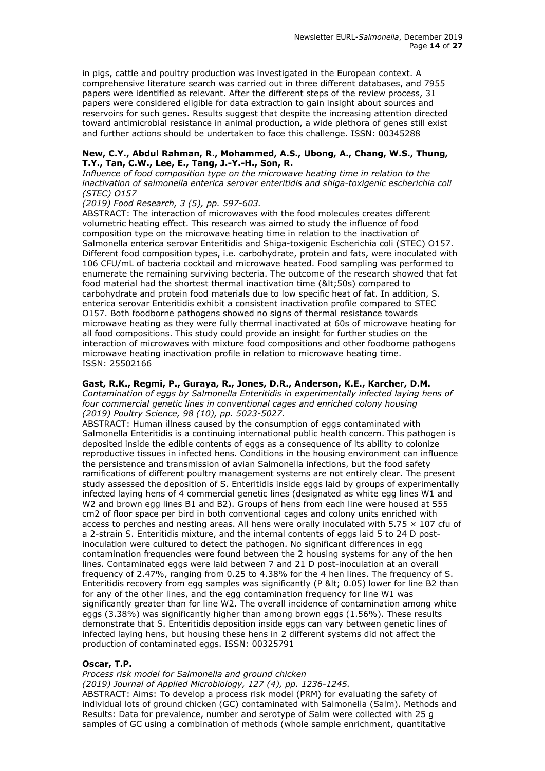in pigs, cattle and poultry production was investigated in the European context. A comprehensive literature search was carried out in three different databases, and 7955 papers were identified as relevant. After the different steps of the review process, 31 papers were considered eligible for data extraction to gain insight about sources and reservoirs for such genes. Results suggest that despite the increasing attention directed toward antimicrobial resistance in animal production, a wide plethora of genes still exist and further actions should be undertaken to face this challenge. ISSN: 00345288

# **New, C.Y., Abdul Rahman, R., Mohammed, A.S., Ubong, A., Chang, W.S., Thung, T.Y., Tan, C.W., Lee, E., Tang, J.-Y.-H., Son, R.**

*Influence of food composition type on the microwave heating time in relation to the inactivation of salmonella enterica serovar enteritidis and shiga-toxigenic escherichia coli (STEC) O157*

# *(2019) Food Research, 3 (5), pp. 597-603.*

ABSTRACT: The interaction of microwaves with the food molecules creates different volumetric heating effect. This research was aimed to study the influence of food composition type on the microwave heating time in relation to the inactivation of Salmonella enterica serovar Enteritidis and Shiga-toxigenic Escherichia coli (STEC) O157. Different food composition types, i.e. carbohydrate, protein and fats, were inoculated with 106 CFU/mL of bacteria cocktail and microwave heated. Food sampling was performed to enumerate the remaining surviving bacteria. The outcome of the research showed that fat food material had the shortest thermal inactivation time (<50s) compared to carbohydrate and protein food materials due to low specific heat of fat. In addition, S. enterica serovar Enteritidis exhibit a consistent inactivation profile compared to STEC O157. Both foodborne pathogens showed no signs of thermal resistance towards microwave heating as they were fully thermal inactivated at 60s of microwave heating for all food compositions. This study could provide an insight for further studies on the interaction of microwaves with mixture food compositions and other foodborne pathogens microwave heating inactivation profile in relation to microwave heating time. ISSN: 25502166

#### **Gast, R.K., Regmi, P., Guraya, R., Jones, D.R., Anderson, K.E., Karcher, D.M.**

*Contamination of eggs by Salmonella Enteritidis in experimentally infected laying hens of four commercial genetic lines in conventional cages and enriched colony housing (2019) Poultry Science, 98 (10), pp. 5023-5027.* 

ABSTRACT: Human illness caused by the consumption of eggs contaminated with Salmonella Enteritidis is a continuing international public health concern. This pathogen is deposited inside the edible contents of eggs as a consequence of its ability to colonize reproductive tissues in infected hens. Conditions in the housing environment can influence the persistence and transmission of avian Salmonella infections, but the food safety ramifications of different poultry management systems are not entirely clear. The present study assessed the deposition of S. Enteritidis inside eggs laid by groups of experimentally infected laying hens of 4 commercial genetic lines (designated as white egg lines W1 and W2 and brown egg lines B1 and B2). Groups of hens from each line were housed at 555 cm2 of floor space per bird in both conventional cages and colony units enriched with access to perches and nesting areas. All hens were orally inoculated with  $5.75 \times 107$  cfu of a 2-strain S. Enteritidis mixture, and the internal contents of eggs laid 5 to 24 D postinoculation were cultured to detect the pathogen. No significant differences in egg contamination frequencies were found between the 2 housing systems for any of the hen lines. Contaminated eggs were laid between 7 and 21 D post-inoculation at an overall frequency of 2.47%, ranging from 0.25 to 4.38% for the 4 hen lines. The frequency of S. Enteritidis recovery from egg samples was significantly (P < 0.05) lower for line B2 than for any of the other lines, and the egg contamination frequency for line W1 was significantly greater than for line W2. The overall incidence of contamination among white eggs (3.38%) was significantly higher than among brown eggs (1.56%). These results demonstrate that S. Enteritidis deposition inside eggs can vary between genetic lines of infected laying hens, but housing these hens in 2 different systems did not affect the production of contaminated eggs. ISSN: 00325791

# **Oscar, T.P.**

*Process risk model for Salmonella and ground chicken*

*(2019) Journal of Applied Microbiology, 127 (4), pp. 1236-1245.* 

ABSTRACT: Aims: To develop a process risk model (PRM) for evaluating the safety of individual lots of ground chicken (GC) contaminated with Salmonella (Salm). Methods and Results: Data for prevalence, number and serotype of Salm were collected with 25 g samples of GC using a combination of methods (whole sample enrichment, quantitative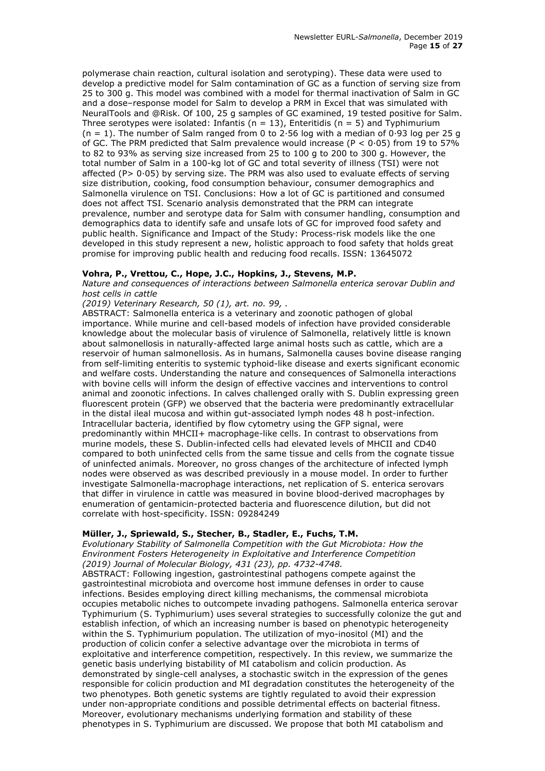polymerase chain reaction, cultural isolation and serotyping). These data were used to develop a predictive model for Salm contamination of GC as a function of serving size from 25 to 300 g. This model was combined with a model for thermal inactivation of Salm in GC and a dose–response model for Salm to develop a PRM in Excel that was simulated with NeuralTools and @Risk. Of 100, 25 g samples of GC examined, 19 tested positive for Salm. Three serotypes were isolated: Infantis ( $n = 13$ ), Enteritidis ( $n = 5$ ) and Typhimurium  $(n = 1)$ . The number of Salm ranged from 0 to 2.56 log with a median of 0.93 log per 25 g of GC. The PRM predicted that Salm prevalence would increase (P <  $0.05$ ) from 19 to 57% to 82 to 93% as serving size increased from 25 to 100 g to 200 to 300 g. However, the total number of Salm in a 100-kg lot of GC and total severity of illness (TSI) were not affected (P $> 0.05$ ) by serving size. The PRM was also used to evaluate effects of serving size distribution, cooking, food consumption behaviour, consumer demographics and Salmonella virulence on TSI. Conclusions: How a lot of GC is partitioned and consumed does not affect TSI. Scenario analysis demonstrated that the PRM can integrate prevalence, number and serotype data for Salm with consumer handling, consumption and demographics data to identify safe and unsafe lots of GC for improved food safety and public health. Significance and Impact of the Study: Process-risk models like the one developed in this study represent a new, holistic approach to food safety that holds great promise for improving public health and reducing food recalls. ISSN: 13645072

# **Vohra, P., Vrettou, C., Hope, J.C., Hopkins, J., Stevens, M.P.**

*Nature and consequences of interactions between Salmonella enterica serovar Dublin and host cells in cattle*

*(2019) Veterinary Research, 50 (1), art. no. 99, .* 

ABSTRACT: Salmonella enterica is a veterinary and zoonotic pathogen of global importance. While murine and cell-based models of infection have provided considerable knowledge about the molecular basis of virulence of Salmonella, relatively little is known about salmonellosis in naturally-affected large animal hosts such as cattle, which are a reservoir of human salmonellosis. As in humans, Salmonella causes bovine disease ranging from self-limiting enteritis to systemic typhoid-like disease and exerts significant economic and welfare costs. Understanding the nature and consequences of Salmonella interactions with bovine cells will inform the design of effective vaccines and interventions to control animal and zoonotic infections. In calves challenged orally with S. Dublin expressing green fluorescent protein (GFP) we observed that the bacteria were predominantly extracellular in the distal ileal mucosa and within gut-associated lymph nodes 48 h post-infection. Intracellular bacteria, identified by flow cytometry using the GFP signal, were predominantly within MHCII+ macrophage-like cells. In contrast to observations from murine models, these S. Dublin-infected cells had elevated levels of MHCII and CD40 compared to both uninfected cells from the same tissue and cells from the cognate tissue of uninfected animals. Moreover, no gross changes of the architecture of infected lymph nodes were observed as was described previously in a mouse model. In order to further investigate Salmonella-macrophage interactions, net replication of S. enterica serovars that differ in virulence in cattle was measured in bovine blood-derived macrophages by enumeration of gentamicin-protected bacteria and fluorescence dilution, but did not correlate with host-specificity. ISSN: 09284249

# **Müller, J., Spriewald, S., Stecher, B., Stadler, E., Fuchs, T.M.**

*Evolutionary Stability of Salmonella Competition with the Gut Microbiota: How the Environment Fosters Heterogeneity in Exploitative and Interference Competition (2019) Journal of Molecular Biology, 431 (23), pp. 4732-4748.* 

ABSTRACT: Following ingestion, gastrointestinal pathogens compete against the gastrointestinal microbiota and overcome host immune defenses in order to cause infections. Besides employing direct killing mechanisms, the commensal microbiota occupies metabolic niches to outcompete invading pathogens. Salmonella enterica serovar Typhimurium (S. Typhimurium) uses several strategies to successfully colonize the gut and establish infection, of which an increasing number is based on phenotypic heterogeneity within the S. Typhimurium population. The utilization of myo-inositol (MI) and the production of colicin confer a selective advantage over the microbiota in terms of exploitative and interference competition, respectively. In this review, we summarize the genetic basis underlying bistability of MI catabolism and colicin production. As demonstrated by single-cell analyses, a stochastic switch in the expression of the genes responsible for colicin production and MI degradation constitutes the heterogeneity of the two phenotypes. Both genetic systems are tightly regulated to avoid their expression under non-appropriate conditions and possible detrimental effects on bacterial fitness. Moreover, evolutionary mechanisms underlying formation and stability of these phenotypes in S. Typhimurium are discussed. We propose that both MI catabolism and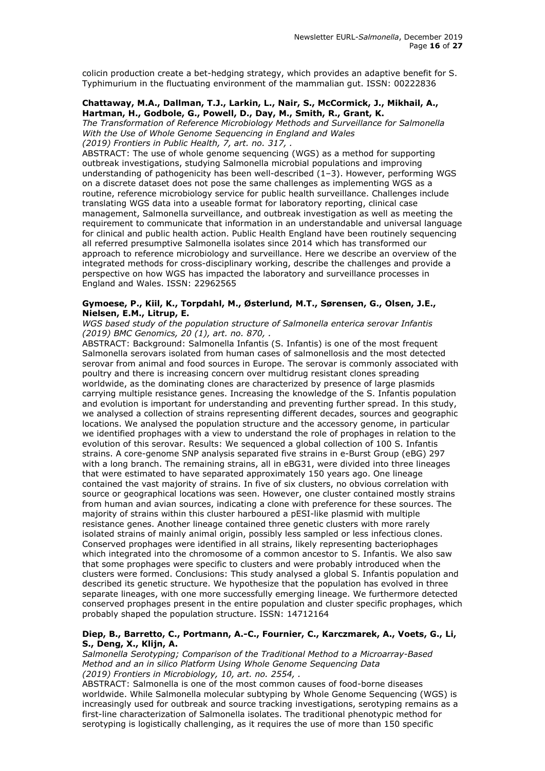colicin production create a bet-hedging strategy, which provides an adaptive benefit for S. Typhimurium in the fluctuating environment of the mammalian gut. ISSN: 00222836

#### **Chattaway, M.A., Dallman, T.J., Larkin, L., Nair, S., McCormick, J., Mikhail, A., Hartman, H., Godbole, G., Powell, D., Day, M., Smith, R., Grant, K.**

*The Transformation of Reference Microbiology Methods and Surveillance for Salmonella With the Use of Whole Genome Sequencing in England and Wales (2019) Frontiers in Public Health, 7, art. no. 317, .* 

ABSTRACT: The use of whole genome sequencing (WGS) as a method for supporting outbreak investigations, studying Salmonella microbial populations and improving understanding of pathogenicity has been well-described (1–3). However, performing WGS on a discrete dataset does not pose the same challenges as implementing WGS as a routine, reference microbiology service for public health surveillance. Challenges include translating WGS data into a useable format for laboratory reporting, clinical case management, Salmonella surveillance, and outbreak investigation as well as meeting the requirement to communicate that information in an understandable and universal language for clinical and public health action. Public Health England have been routinely sequencing all referred presumptive Salmonella isolates since 2014 which has transformed our approach to reference microbiology and surveillance. Here we describe an overview of the integrated methods for cross-disciplinary working, describe the challenges and provide a perspective on how WGS has impacted the laboratory and surveillance processes in England and Wales. ISSN: 22962565

# **Gymoese, P., Kiil, K., Torpdahl, M., Østerlund, M.T., Sørensen, G., Olsen, J.E., Nielsen, E.M., Litrup, E.**

*WGS based study of the population structure of Salmonella enterica serovar Infantis (2019) BMC Genomics, 20 (1), art. no. 870, .* 

ABSTRACT: Background: Salmonella Infantis (S. Infantis) is one of the most frequent Salmonella serovars isolated from human cases of salmonellosis and the most detected serovar from animal and food sources in Europe. The serovar is commonly associated with poultry and there is increasing concern over multidrug resistant clones spreading worldwide, as the dominating clones are characterized by presence of large plasmids carrying multiple resistance genes. Increasing the knowledge of the S. Infantis population and evolution is important for understanding and preventing further spread. In this study, we analysed a collection of strains representing different decades, sources and geographic locations. We analysed the population structure and the accessory genome, in particular we identified prophages with a view to understand the role of prophages in relation to the evolution of this serovar. Results: We sequenced a global collection of 100 S. Infantis strains. A core-genome SNP analysis separated five strains in e-Burst Group (eBG) 297 with a long branch. The remaining strains, all in eBG31, were divided into three lineages that were estimated to have separated approximately 150 years ago. One lineage contained the vast majority of strains. In five of six clusters, no obvious correlation with source or geographical locations was seen. However, one cluster contained mostly strains from human and avian sources, indicating a clone with preference for these sources. The majority of strains within this cluster harboured a pESI-like plasmid with multiple resistance genes. Another lineage contained three genetic clusters with more rarely isolated strains of mainly animal origin, possibly less sampled or less infectious clones. Conserved prophages were identified in all strains, likely representing bacteriophages which integrated into the chromosome of a common ancestor to S. Infantis. We also saw that some prophages were specific to clusters and were probably introduced when the clusters were formed. Conclusions: This study analysed a global S. Infantis population and described its genetic structure. We hypothesize that the population has evolved in three separate lineages, with one more successfully emerging lineage. We furthermore detected conserved prophages present in the entire population and cluster specific prophages, which probably shaped the population structure. ISSN: 14712164

#### **Diep, B., Barretto, C., Portmann, A.-C., Fournier, C., Karczmarek, A., Voets, G., Li, S., Deng, X., Klijn, A.**

*Salmonella Serotyping; Comparison of the Traditional Method to a Microarray-Based Method and an in silico Platform Using Whole Genome Sequencing Data (2019) Frontiers in Microbiology, 10, art. no. 2554, .* 

ABSTRACT: Salmonella is one of the most common causes of food-borne diseases worldwide. While Salmonella molecular subtyping by Whole Genome Sequencing (WGS) is increasingly used for outbreak and source tracking investigations, serotyping remains as a first-line characterization of Salmonella isolates. The traditional phenotypic method for serotyping is logistically challenging, as it requires the use of more than 150 specific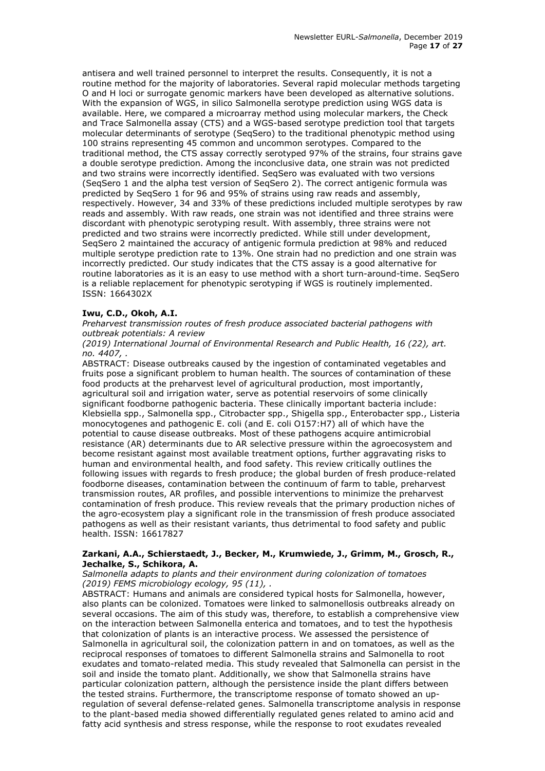antisera and well trained personnel to interpret the results. Consequently, it is not a routine method for the majority of laboratories. Several rapid molecular methods targeting O and H loci or surrogate genomic markers have been developed as alternative solutions. With the expansion of WGS, in silico Salmonella serotype prediction using WGS data is available. Here, we compared a microarray method using molecular markers, the Check and Trace Salmonella assay (CTS) and a WGS-based serotype prediction tool that targets molecular determinants of serotype (SeqSero) to the traditional phenotypic method using 100 strains representing 45 common and uncommon serotypes. Compared to the traditional method, the CTS assay correctly serotyped 97% of the strains, four strains gave a double serotype prediction. Among the inconclusive data, one strain was not predicted and two strains were incorrectly identified. SeqSero was evaluated with two versions (SeqSero 1 and the alpha test version of SeqSero 2). The correct antigenic formula was predicted by SeqSero 1 for 96 and 95% of strains using raw reads and assembly, respectively. However, 34 and 33% of these predictions included multiple serotypes by raw reads and assembly. With raw reads, one strain was not identified and three strains were discordant with phenotypic serotyping result. With assembly, three strains were not predicted and two strains were incorrectly predicted. While still under development, SeqSero 2 maintained the accuracy of antigenic formula prediction at 98% and reduced multiple serotype prediction rate to 13%. One strain had no prediction and one strain was incorrectly predicted. Our study indicates that the CTS assay is a good alternative for routine laboratories as it is an easy to use method with a short turn-around-time. SeqSero is a reliable replacement for phenotypic serotyping if WGS is routinely implemented. ISSN: 1664302X

# **Iwu, C.D., Okoh, A.I.**

*Preharvest transmission routes of fresh produce associated bacterial pathogens with outbreak potentials: A review*

*(2019) International Journal of Environmental Research and Public Health, 16 (22), art. no. 4407, .* 

ABSTRACT: Disease outbreaks caused by the ingestion of contaminated vegetables and fruits pose a significant problem to human health. The sources of contamination of these food products at the preharvest level of agricultural production, most importantly, agricultural soil and irrigation water, serve as potential reservoirs of some clinically significant foodborne pathogenic bacteria. These clinically important bacteria include: Klebsiella spp., Salmonella spp., Citrobacter spp., Shigella spp., Enterobacter spp., Listeria monocytogenes and pathogenic E. coli (and E. coli O157:H7) all of which have the potential to cause disease outbreaks. Most of these pathogens acquire antimicrobial resistance (AR) determinants due to AR selective pressure within the agroecosystem and become resistant against most available treatment options, further aggravating risks to human and environmental health, and food safety. This review critically outlines the following issues with regards to fresh produce; the global burden of fresh produce-related foodborne diseases, contamination between the continuum of farm to table, preharvest transmission routes, AR profiles, and possible interventions to minimize the preharvest contamination of fresh produce. This review reveals that the primary production niches of the agro-ecosystem play a significant role in the transmission of fresh produce associated pathogens as well as their resistant variants, thus detrimental to food safety and public health. ISSN: 16617827

# **Zarkani, A.A., Schierstaedt, J., Becker, M., Krumwiede, J., Grimm, M., Grosch, R., Jechalke, S., Schikora, A.**

#### *Salmonella adapts to plants and their environment during colonization of tomatoes (2019) FEMS microbiology ecology, 95 (11), .*

ABSTRACT: Humans and animals are considered typical hosts for Salmonella, however, also plants can be colonized. Tomatoes were linked to salmonellosis outbreaks already on several occasions. The aim of this study was, therefore, to establish a comprehensive view on the interaction between Salmonella enterica and tomatoes, and to test the hypothesis that colonization of plants is an interactive process. We assessed the persistence of Salmonella in agricultural soil, the colonization pattern in and on tomatoes, as well as the reciprocal responses of tomatoes to different Salmonella strains and Salmonella to root exudates and tomato-related media. This study revealed that Salmonella can persist in the soil and inside the tomato plant. Additionally, we show that Salmonella strains have particular colonization pattern, although the persistence inside the plant differs between the tested strains. Furthermore, the transcriptome response of tomato showed an upregulation of several defense-related genes. Salmonella transcriptome analysis in response to the plant-based media showed differentially regulated genes related to amino acid and fatty acid synthesis and stress response, while the response to root exudates revealed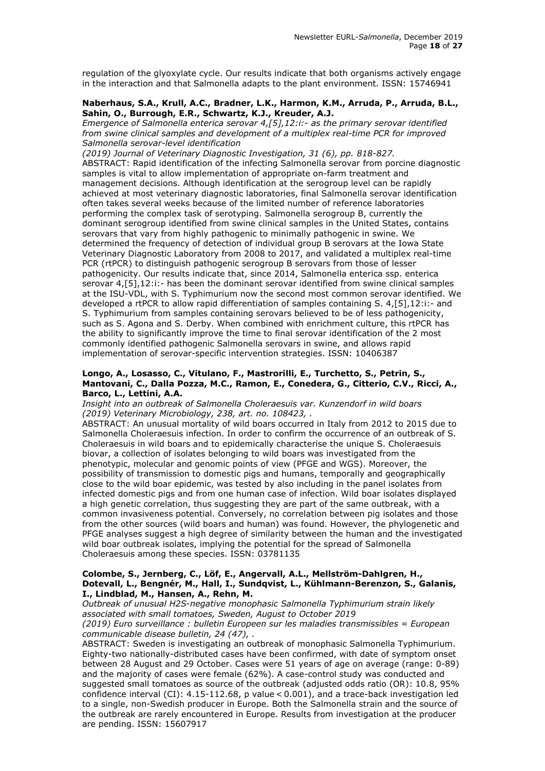regulation of the glyoxylate cycle. Our results indicate that both organisms actively engage in the interaction and that Salmonella adapts to the plant environment. ISSN: 15746941

#### **Naberhaus, S.A., Krull, A.C., Bradner, L.K., Harmon, K.M., Arruda, P., Arruda, B.L., Sahin, O., Burrough, E.R., Schwartz, K.J., Kreuder, A.J.**

*Emergence of Salmonella enterica serovar 4,[5],12:i:- as the primary serovar identified from swine clinical samples and development of a multiplex real-time PCR for improved Salmonella serovar-level identification*

*(2019) Journal of Veterinary Diagnostic Investigation, 31 (6), pp. 818-827.*  ABSTRACT: Rapid identification of the infecting Salmonella serovar from porcine diagnostic samples is vital to allow implementation of appropriate on-farm treatment and management decisions. Although identification at the serogroup level can be rapidly achieved at most veterinary diagnostic laboratories, final Salmonella serovar identification often takes several weeks because of the limited number of reference laboratories performing the complex task of serotyping. Salmonella serogroup B, currently the dominant serogroup identified from swine clinical samples in the United States, contains serovars that vary from highly pathogenic to minimally pathogenic in swine. We determined the frequency of detection of individual group B serovars at the Iowa State Veterinary Diagnostic Laboratory from 2008 to 2017, and validated a multiplex real-time PCR (rtPCR) to distinguish pathogenic serogroup B serovars from those of lesser pathogenicity. Our results indicate that, since 2014, Salmonella enterica ssp. enterica serovar 4,[5],12:i:- has been the dominant serovar identified from swine clinical samples at the ISU-VDL, with S. Typhimurium now the second most common serovar identified. We developed a rtPCR to allow rapid differentiation of samples containing S. 4,[5],12:i:- and S. Typhimurium from samples containing serovars believed to be of less pathogenicity, such as S. Agona and S. Derby. When combined with enrichment culture, this rtPCR has the ability to significantly improve the time to final serovar identification of the 2 most commonly identified pathogenic Salmonella serovars in swine, and allows rapid implementation of serovar-specific intervention strategies. ISSN: 10406387

#### **Longo, A., Losasso, C., Vitulano, F., Mastrorilli, E., Turchetto, S., Petrin, S., Mantovani, C., Dalla Pozza, M.C., Ramon, E., Conedera, G., Citterio, C.V., Ricci, A., Barco, L., Lettini, A.A.**

*Insight into an outbreak of Salmonella Choleraesuis var. Kunzendorf in wild boars (2019) Veterinary Microbiology, 238, art. no. 108423, .* 

ABSTRACT: An unusual mortality of wild boars occurred in Italy from 2012 to 2015 due to Salmonella Choleraesuis infection. In order to confirm the occurrence of an outbreak of S. Choleraesuis in wild boars and to epidemically characterise the unique S. Choleraesuis biovar, a collection of isolates belonging to wild boars was investigated from the phenotypic, molecular and genomic points of view (PFGE and WGS). Moreover, the possibility of transmission to domestic pigs and humans, temporally and geographically close to the wild boar epidemic, was tested by also including in the panel isolates from infected domestic pigs and from one human case of infection. Wild boar isolates displayed a high genetic correlation, thus suggesting they are part of the same outbreak, with a common invasiveness potential. Conversely, no correlation between pig isolates and those from the other sources (wild boars and human) was found. However, the phylogenetic and PFGE analyses suggest a high degree of similarity between the human and the investigated wild boar outbreak isolates, implying the potential for the spread of Salmonella Choleraesuis among these species. ISSN: 03781135

#### **Colombe, S., Jernberg, C., Löf, E., Angervall, A.L., Mellström-Dahlgren, H., Dotevall, L., Bengnér, M., Hall, I., Sundqvist, L., Kühlmann-Berenzon, S., Galanis, I., Lindblad, M., Hansen, A., Rehn, M.**

*Outbreak of unusual H2S-negative monophasic Salmonella Typhimurium strain likely associated with small tomatoes, Sweden, August to October 2019 (2019) Euro surveillance : bulletin Europeen sur les maladies transmissibles = European communicable disease bulletin, 24 (47), .* 

ABSTRACT: Sweden is investigating an outbreak of monophasic Salmonella Typhimurium. Eighty-two nationally-distributed cases have been confirmed, with date of symptom onset between 28 August and 29 October. Cases were 51 years of age on average (range: 0-89) and the majority of cases were female (62%). A case-control study was conducted and suggested small tomatoes as source of the outbreak (adjusted odds ratio (OR): 10.8, 95% confidence interval (CI): 4.15-112.68, p value < 0.001), and a trace-back investigation led to a single, non-Swedish producer in Europe. Both the Salmonella strain and the source of the outbreak are rarely encountered in Europe. Results from investigation at the producer are pending. ISSN: 15607917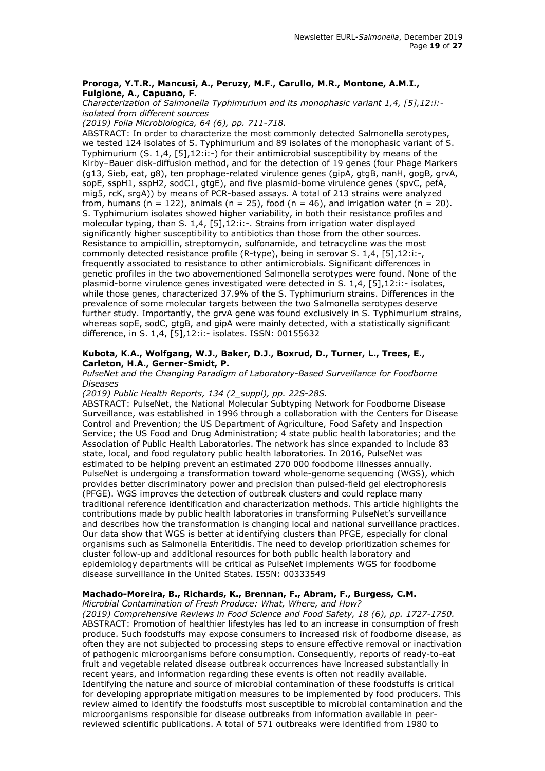### **Proroga, Y.T.R., Mancusi, A., Peruzy, M.F., Carullo, M.R., Montone, A.M.I., Fulgione, A., Capuano, F.**

*Characterization of Salmonella Typhimurium and its monophasic variant 1,4, [5],12:i: isolated from different sources*

*(2019) Folia Microbiologica, 64 (6), pp. 711-718.* 

ABSTRACT: In order to characterize the most commonly detected Salmonella serotypes, we tested 124 isolates of S. Typhimurium and 89 isolates of the monophasic variant of S. Typhimurium (S. 1,4, [5],12:i:-) for their antimicrobial susceptibility by means of the Kirby–Bauer disk-diffusion method, and for the detection of 19 genes (four Phage Markers (g13, Sieb, eat, g8), ten prophage-related virulence genes (gipA, gtgB, nanH, gogB, grvA, sopE, sspH1, sspH2, sodC1, gtgE), and five plasmid-borne virulence genes (spvC, pefA, mig5, rcK, srgA)) by means of PCR-based assays. A total of 213 strains were analyzed from, humans (n = 122), animals (n = 25), food (n = 46), and irrigation water (n = 20). S. Typhimurium isolates showed higher variability, in both their resistance profiles and molecular typing, than S. 1,4, [5],12:i:-. Strains from irrigation water displayed significantly higher susceptibility to antibiotics than those from the other sources. Resistance to ampicillin, streptomycin, sulfonamide, and tetracycline was the most commonly detected resistance profile (R-type), being in serovar S. 1,4, [5],12:i:-, frequently associated to resistance to other antimicrobials. Significant differences in genetic profiles in the two abovementioned Salmonella serotypes were found. None of the plasmid-borne virulence genes investigated were detected in S. 1,4, [5],12:i:- isolates, while those genes, characterized 37.9% of the S. Typhimurium strains. Differences in the prevalence of some molecular targets between the two Salmonella serotypes deserve further study. Importantly, the grvA gene was found exclusively in S. Typhimurium strains, whereas sopE, sodC, gtgB, and gipA were mainly detected, with a statistically significant difference, in S. 1,4, [5],12:i:- isolates. ISSN: 00155632

#### **Kubota, K.A., Wolfgang, W.J., Baker, D.J., Boxrud, D., Turner, L., Trees, E., Carleton, H.A., Gerner-Smidt, P.**

*PulseNet and the Changing Paradigm of Laboratory-Based Surveillance for Foodborne Diseases*

*(2019) Public Health Reports, 134 (2\_suppl), pp. 22S-28S.* 

ABSTRACT: PulseNet, the National Molecular Subtyping Network for Foodborne Disease Surveillance, was established in 1996 through a collaboration with the Centers for Disease Control and Prevention; the US Department of Agriculture, Food Safety and Inspection Service; the US Food and Drug Administration; 4 state public health laboratories; and the Association of Public Health Laboratories. The network has since expanded to include 83 state, local, and food regulatory public health laboratories. In 2016, PulseNet was estimated to be helping prevent an estimated 270 000 foodborne illnesses annually. PulseNet is undergoing a transformation toward whole-genome sequencing (WGS), which provides better discriminatory power and precision than pulsed-field gel electrophoresis (PFGE). WGS improves the detection of outbreak clusters and could replace many traditional reference identification and characterization methods. This article highlights the contributions made by public health laboratories in transforming PulseNet's surveillance and describes how the transformation is changing local and national surveillance practices. Our data show that WGS is better at identifying clusters than PFGE, especially for clonal organisms such as Salmonella Enteritidis. The need to develop prioritization schemes for cluster follow-up and additional resources for both public health laboratory and epidemiology departments will be critical as PulseNet implements WGS for foodborne disease surveillance in the United States. ISSN: 00333549

# **Machado-Moreira, B., Richards, K., Brennan, F., Abram, F., Burgess, C.M.**

*Microbial Contamination of Fresh Produce: What, Where, and How?*

*(2019) Comprehensive Reviews in Food Science and Food Safety, 18 (6), pp. 1727-1750.*  ABSTRACT: Promotion of healthier lifestyles has led to an increase in consumption of fresh produce. Such foodstuffs may expose consumers to increased risk of foodborne disease, as often they are not subjected to processing steps to ensure effective removal or inactivation of pathogenic microorganisms before consumption. Consequently, reports of ready-to-eat fruit and vegetable related disease outbreak occurrences have increased substantially in recent years, and information regarding these events is often not readily available. Identifying the nature and source of microbial contamination of these foodstuffs is critical for developing appropriate mitigation measures to be implemented by food producers. This review aimed to identify the foodstuffs most susceptible to microbial contamination and the microorganisms responsible for disease outbreaks from information available in peerreviewed scientific publications. A total of 571 outbreaks were identified from 1980 to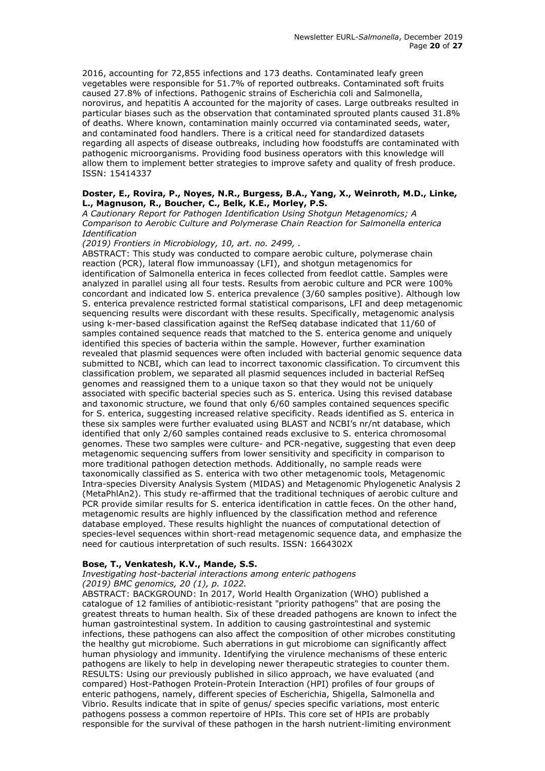2016, accounting for 72,855 infections and 173 deaths. Contaminated leafy green vegetables were responsible for 51.7% of reported outbreaks. Contaminated soft fruits caused 27.8% of infections. Pathogenic strains of Escherichia coli and Salmonella, norovirus, and hepatitis A accounted for the majority of cases. Large outbreaks resulted in particular biases such as the observation that contaminated sprouted plants caused 31.8% of deaths. Where known, contamination mainly occurred via contaminated seeds, water, and contaminated food handlers. There is a critical need for standardized datasets regarding all aspects of disease outbreaks, including how foodstuffs are contaminated with pathogenic microorganisms. Providing food business operators with this knowledge will allow them to implement better strategies to improve safety and quality of fresh produce. ISSN: 15414337

#### **Doster, E., Rovira, P., Noyes, N.R., Burgess, B.A., Yang, X., Weinroth, M.D., Linke, L., Magnuson, R., Boucher, C., Belk, K.E., Morley, P.S.**

*A Cautionary Report for Pathogen Identification Using Shotgun Metagenomics; A Comparison to Aerobic Culture and Polymerase Chain Reaction for Salmonella enterica Identification*

*(2019) Frontiers in Microbiology, 10, art. no. 2499, .* 

ABSTRACT: This study was conducted to compare aerobic culture, polymerase chain reaction (PCR), lateral flow immunoassay (LFI), and shotgun metagenomics for identification of Salmonella enterica in feces collected from feedlot cattle. Samples were analyzed in parallel using all four tests. Results from aerobic culture and PCR were 100% concordant and indicated low S. enterica prevalence (3/60 samples positive). Although low S. enterica prevalence restricted formal statistical comparisons, LFI and deep metagenomic sequencing results were discordant with these results. Specifically, metagenomic analysis using k-mer-based classification against the RefSeq database indicated that 11/60 of samples contained sequence reads that matched to the S. enterica genome and uniquely identified this species of bacteria within the sample. However, further examination revealed that plasmid sequences were often included with bacterial genomic sequence data submitted to NCBI, which can lead to incorrect taxonomic classification. To circumvent this classification problem, we separated all plasmid sequences included in bacterial RefSeq genomes and reassigned them to a unique taxon so that they would not be uniquely associated with specific bacterial species such as S. enterica. Using this revised database and taxonomic structure, we found that only 6/60 samples contained sequences specific for S. enterica, suggesting increased relative specificity. Reads identified as S. enterica in these six samples were further evaluated using BLAST and NCBI's nr/nt database, which identified that only 2/60 samples contained reads exclusive to S. enterica chromosomal genomes. These two samples were culture- and PCR-negative, suggesting that even deep metagenomic sequencing suffers from lower sensitivity and specificity in comparison to more traditional pathogen detection methods. Additionally, no sample reads were taxonomically classified as S. enterica with two other metagenomic tools, Metagenomic Intra-species Diversity Analysis System (MIDAS) and Metagenomic Phylogenetic Analysis 2 (MetaPhlAn2). This study re-affirmed that the traditional techniques of aerobic culture and PCR provide similar results for S. enterica identification in cattle feces. On the other hand, metagenomic results are highly influenced by the classification method and reference database employed. These results highlight the nuances of computational detection of species-level sequences within short-read metagenomic sequence data, and emphasize the need for cautious interpretation of such results. ISSN: 1664302X

# **Bose, T., Venkatesh, K.V., Mande, S.S.**

*Investigating host-bacterial interactions among enteric pathogens (2019) BMC genomics, 20 (1), p. 1022.* 

ABSTRACT: BACKGROUND: In 2017, World Health Organization (WHO) published a catalogue of 12 families of antibiotic-resistant "priority pathogens" that are posing the greatest threats to human health. Six of these dreaded pathogens are known to infect the human gastrointestinal system. In addition to causing gastrointestinal and systemic infections, these pathogens can also affect the composition of other microbes constituting the healthy gut microbiome. Such aberrations in gut microbiome can significantly affect human physiology and immunity. Identifying the virulence mechanisms of these enteric pathogens are likely to help in developing newer therapeutic strategies to counter them. RESULTS: Using our previously published in silico approach, we have evaluated (and compared) Host-Pathogen Protein-Protein Interaction (HPI) profiles of four groups of enteric pathogens, namely, different species of Escherichia, Shigella, Salmonella and Vibrio. Results indicate that in spite of genus/ species specific variations, most enteric pathogens possess a common repertoire of HPIs. This core set of HPIs are probably responsible for the survival of these pathogen in the harsh nutrient-limiting environment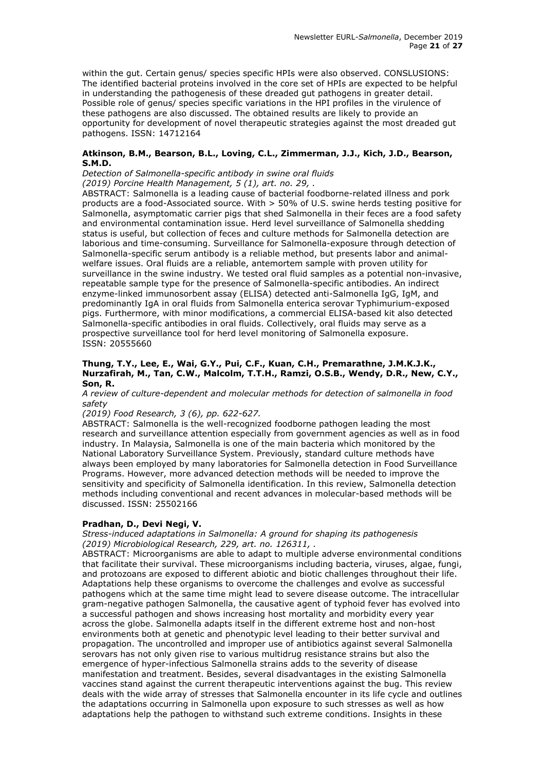within the gut. Certain genus/ species specific HPIs were also observed. CONSLUSIONS: The identified bacterial proteins involved in the core set of HPIs are expected to be helpful in understanding the pathogenesis of these dreaded gut pathogens in greater detail. Possible role of genus/ species specific variations in the HPI profiles in the virulence of these pathogens are also discussed. The obtained results are likely to provide an opportunity for development of novel therapeutic strategies against the most dreaded gut pathogens. ISSN: 14712164

# **Atkinson, B.M., Bearson, B.L., Loving, C.L., Zimmerman, J.J., Kich, J.D., Bearson, S.M.D.**

*Detection of Salmonella-specific antibody in swine oral fluids (2019) Porcine Health Management, 5 (1), art. no. 29, .* 

ABSTRACT: Salmonella is a leading cause of bacterial foodborne-related illness and pork products are a food-Associated source. With > 50% of U.S. swine herds testing positive for Salmonella, asymptomatic carrier pigs that shed Salmonella in their feces are a food safety and environmental contamination issue. Herd level surveillance of Salmonella shedding status is useful, but collection of feces and culture methods for Salmonella detection are laborious and time-consuming. Surveillance for Salmonella-exposure through detection of Salmonella-specific serum antibody is a reliable method, but presents labor and animalwelfare issues. Oral fluids are a reliable, antemortem sample with proven utility for surveillance in the swine industry. We tested oral fluid samples as a potential non-invasive, repeatable sample type for the presence of Salmonella-specific antibodies. An indirect enzyme-linked immunosorbent assay (ELISA) detected anti-Salmonella IgG, IgM, and predominantly IgA in oral fluids from Salmonella enterica serovar Typhimurium-exposed pigs. Furthermore, with minor modifications, a commercial ELISA-based kit also detected Salmonella-specific antibodies in oral fluids. Collectively, oral fluids may serve as a prospective surveillance tool for herd level monitoring of Salmonella exposure. ISSN: 20555660

#### **Thung, T.Y., Lee, E., Wai, G.Y., Pui, C.F., Kuan, C.H., Premarathne, J.M.K.J.K., Nurzafirah, M., Tan, C.W., Malcolm, T.T.H., Ramzi, O.S.B., Wendy, D.R., New, C.Y., Son, R.**

*A review of culture-dependent and molecular methods for detection of salmonella in food safety*

# *(2019) Food Research, 3 (6), pp. 622-627.*

ABSTRACT: Salmonella is the well-recognized foodborne pathogen leading the most research and surveillance attention especially from government agencies as well as in food industry. In Malaysia, Salmonella is one of the main bacteria which monitored by the National Laboratory Surveillance System. Previously, standard culture methods have always been employed by many laboratories for Salmonella detection in Food Surveillance Programs. However, more advanced detection methods will be needed to improve the sensitivity and specificity of Salmonella identification. In this review, Salmonella detection methods including conventional and recent advances in molecular-based methods will be discussed. ISSN: 25502166

# **Pradhan, D., Devi Negi, V.**

*Stress-induced adaptations in Salmonella: A ground for shaping its pathogenesis (2019) Microbiological Research, 229, art. no. 126311, .* 

ABSTRACT: Microorganisms are able to adapt to multiple adverse environmental conditions that facilitate their survival. These microorganisms including bacteria, viruses, algae, fungi, and protozoans are exposed to different abiotic and biotic challenges throughout their life. Adaptations help these organisms to overcome the challenges and evolve as successful pathogens which at the same time might lead to severe disease outcome. The intracellular gram-negative pathogen Salmonella, the causative agent of typhoid fever has evolved into a successful pathogen and shows increasing host mortality and morbidity every year across the globe. Salmonella adapts itself in the different extreme host and non-host environments both at genetic and phenotypic level leading to their better survival and propagation. The uncontrolled and improper use of antibiotics against several Salmonella serovars has not only given rise to various multidrug resistance strains but also the emergence of hyper-infectious Salmonella strains adds to the severity of disease manifestation and treatment. Besides, several disadvantages in the existing Salmonella vaccines stand against the current therapeutic interventions against the bug. This review deals with the wide array of stresses that Salmonella encounter in its life cycle and outlines the adaptations occurring in Salmonella upon exposure to such stresses as well as how adaptations help the pathogen to withstand such extreme conditions. Insights in these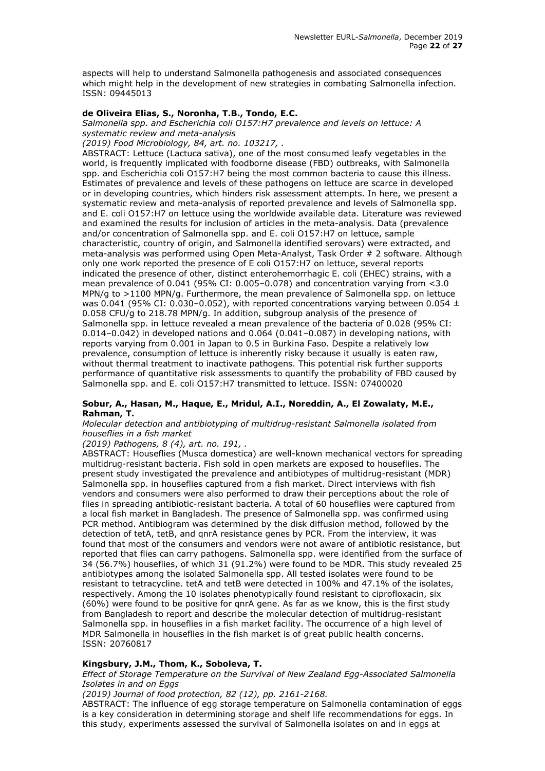aspects will help to understand Salmonella pathogenesis and associated consequences which might help in the development of new strategies in combating Salmonella infection. ISSN: 09445013

# **de Oliveira Elias, S., Noronha, T.B., Tondo, E.C.**

*Salmonella spp. and Escherichia coli O157:H7 prevalence and levels on lettuce: A systematic review and meta-analysis*

*(2019) Food Microbiology, 84, art. no. 103217, .* 

ABSTRACT: Lettuce (Lactuca sativa), one of the most consumed leafy vegetables in the world, is frequently implicated with foodborne disease (FBD) outbreaks, with Salmonella spp. and Escherichia coli O157:H7 being the most common bacteria to cause this illness. Estimates of prevalence and levels of these pathogens on lettuce are scarce in developed or in developing countries, which hinders risk assessment attempts. In here, we present a systematic review and meta-analysis of reported prevalence and levels of Salmonella spp. and E. coli O157:H7 on lettuce using the worldwide available data. Literature was reviewed and examined the results for inclusion of articles in the meta-analysis. Data (prevalence and/or concentration of Salmonella spp. and E. coli O157:H7 on lettuce, sample characteristic, country of origin, and Salmonella identified serovars) were extracted, and meta-analysis was performed using Open Meta-Analyst, Task Order # 2 software. Although only one work reported the presence of E coli O157:H7 on lettuce, several reports indicated the presence of other, distinct enterohemorrhagic E. coli (EHEC) strains, with a mean prevalence of 0.041 (95% CI: 0.005–0.078) and concentration varying from <3.0 MPN/g to >1100 MPN/g. Furthermore, the mean prevalence of Salmonella spp. on lettuce was 0.041 (95% CI: 0.030-0.052), with reported concentrations varying between 0.054  $\pm$ 0.058 CFU/g to 218.78 MPN/g. In addition, subgroup analysis of the presence of Salmonella spp. in lettuce revealed a mean prevalence of the bacteria of 0.028 (95% CI: 0.014–0.042) in developed nations and 0.064 (0.041–0.087) in developing nations, with reports varying from 0.001 in Japan to 0.5 in Burkina Faso. Despite a relatively low prevalence, consumption of lettuce is inherently risky because it usually is eaten raw, without thermal treatment to inactivate pathogens. This potential risk further supports performance of quantitative risk assessments to quantify the probability of FBD caused by Salmonella spp. and E. coli O157:H7 transmitted to lettuce. ISSN: 07400020

#### **Sobur, A., Hasan, M., Haque, E., Mridul, A.I., Noreddin, A., El Zowalaty, M.E., Rahman, T.**

*Molecular detection and antibiotyping of multidrug-resistant Salmonella isolated from houseflies in a fish market*

*(2019) Pathogens, 8 (4), art. no. 191, .* 

ABSTRACT: Houseflies (Musca domestica) are well-known mechanical vectors for spreading multidrug-resistant bacteria. Fish sold in open markets are exposed to houseflies. The present study investigated the prevalence and antibiotypes of multidrug-resistant (MDR) Salmonella spp. in houseflies captured from a fish market. Direct interviews with fish vendors and consumers were also performed to draw their perceptions about the role of flies in spreading antibiotic-resistant bacteria. A total of 60 houseflies were captured from a local fish market in Bangladesh. The presence of Salmonella spp. was confirmed using PCR method. Antibiogram was determined by the disk diffusion method, followed by the detection of tetA, tetB, and qnrA resistance genes by PCR. From the interview, it was found that most of the consumers and vendors were not aware of antibiotic resistance, but reported that flies can carry pathogens. Salmonella spp. were identified from the surface of 34 (56.7%) houseflies, of which 31 (91.2%) were found to be MDR. This study revealed 25 antibiotypes among the isolated Salmonella spp. All tested isolates were found to be resistant to tetracycline. tetA and tetB were detected in 100% and 47.1% of the isolates, respectively. Among the 10 isolates phenotypically found resistant to ciprofloxacin, six (60%) were found to be positive for qnrA gene. As far as we know, this is the first study from Bangladesh to report and describe the molecular detection of multidrug-resistant Salmonella spp. in houseflies in a fish market facility. The occurrence of a high level of MDR Salmonella in houseflies in the fish market is of great public health concerns. ISSN: 20760817

# **Kingsbury, J.M., Thom, K., Soboleva, T.**

*Effect of Storage Temperature on the Survival of New Zealand Egg-Associated Salmonella Isolates in and on Eggs*

*(2019) Journal of food protection, 82 (12), pp. 2161-2168.* 

ABSTRACT: The influence of egg storage temperature on Salmonella contamination of eggs is a key consideration in determining storage and shelf life recommendations for eggs. In this study, experiments assessed the survival of Salmonella isolates on and in eggs at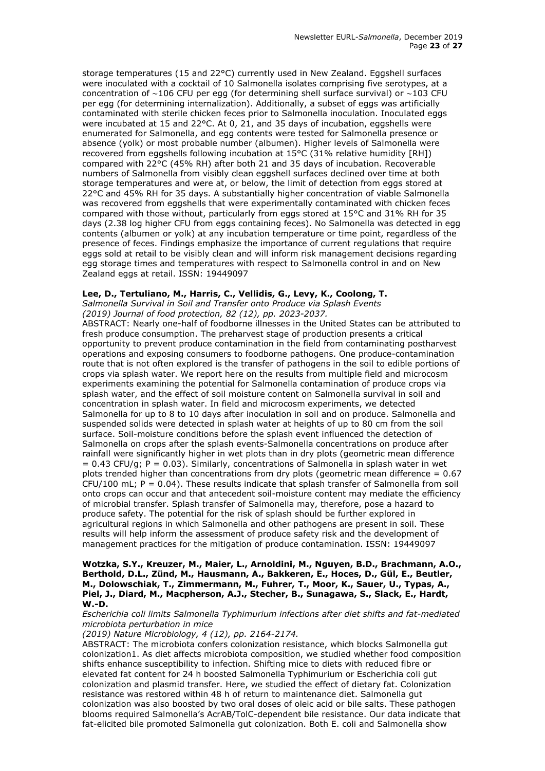storage temperatures (15 and 22°C) currently used in New Zealand. Eggshell surfaces were inoculated with a cocktail of 10 Salmonella isolates comprising five serotypes, at a concentration of ∼106 CFU per egg (for determining shell surface survival) or ∼103 CFU per egg (for determining internalization). Additionally, a subset of eggs was artificially contaminated with sterile chicken feces prior to Salmonella inoculation. Inoculated eggs were incubated at 15 and 22°C. At 0, 21, and 35 days of incubation, eggshells were enumerated for Salmonella, and egg contents were tested for Salmonella presence or absence (yolk) or most probable number (albumen). Higher levels of Salmonella were recovered from eggshells following incubation at 15°C (31% relative humidity [RH]) compared with 22°C (45% RH) after both 21 and 35 days of incubation. Recoverable numbers of Salmonella from visibly clean eggshell surfaces declined over time at both storage temperatures and were at, or below, the limit of detection from eggs stored at 22°C and 45% RH for 35 days. A substantially higher concentration of viable Salmonella was recovered from eggshells that were experimentally contaminated with chicken feces compared with those without, particularly from eggs stored at 15°C and 31% RH for 35 days (2.38 log higher CFU from eggs containing feces). No Salmonella was detected in egg contents (albumen or yolk) at any incubation temperature or time point, regardless of the presence of feces. Findings emphasize the importance of current regulations that require eggs sold at retail to be visibly clean and will inform risk management decisions regarding egg storage times and temperatures with respect to Salmonella control in and on New Zealand eggs at retail. ISSN: 19449097

#### **Lee, D., Tertuliano, M., Harris, C., Vellidis, G., Levy, K., Coolong, T.**

*Salmonella Survival in Soil and Transfer onto Produce via Splash Events*

*(2019) Journal of food protection, 82 (12), pp. 2023-2037.* 

ABSTRACT: Nearly one-half of foodborne illnesses in the United States can be attributed to fresh produce consumption. The preharvest stage of production presents a critical opportunity to prevent produce contamination in the field from contaminating postharvest operations and exposing consumers to foodborne pathogens. One produce-contamination route that is not often explored is the transfer of pathogens in the soil to edible portions of crops via splash water. We report here on the results from multiple field and microcosm experiments examining the potential for Salmonella contamination of produce crops via splash water, and the effect of soil moisture content on Salmonella survival in soil and concentration in splash water. In field and microcosm experiments, we detected Salmonella for up to 8 to 10 days after inoculation in soil and on produce. Salmonella and suspended solids were detected in splash water at heights of up to 80 cm from the soil surface. Soil-moisture conditions before the splash event influenced the detection of Salmonella on crops after the splash events-Salmonella concentrations on produce after rainfall were significantly higher in wet plots than in dry plots (geometric mean difference  $= 0.43$  CFU/g; P = 0.03). Similarly, concentrations of Salmonella in splash water in wet plots trended higher than concentrations from dry plots (geometric mean difference  $= 0.67$  $CFU/100$  mL;  $P = 0.04$ ). These results indicate that splash transfer of Salmonella from soil onto crops can occur and that antecedent soil-moisture content may mediate the efficiency of microbial transfer. Splash transfer of Salmonella may, therefore, pose a hazard to produce safety. The potential for the risk of splash should be further explored in agricultural regions in which Salmonella and other pathogens are present in soil. These results will help inform the assessment of produce safety risk and the development of management practices for the mitigation of produce contamination. ISSN: 19449097

**Wotzka, S.Y., Kreuzer, M., Maier, L., Arnoldini, M., Nguyen, B.D., Brachmann, A.O., Berthold, D.L., Zünd, M., Hausmann, A., Bakkeren, E., Hoces, D., Gül, E., Beutler, M., Dolowschiak, T., Zimmermann, M., Fuhrer, T., Moor, K., Sauer, U., Typas, A., Piel, J., Diard, M., Macpherson, A.J., Stecher, B., Sunagawa, S., Slack, E., Hardt, W.-D.**

*Escherichia coli limits Salmonella Typhimurium infections after diet shifts and fat-mediated microbiota perturbation in mice*

*(2019) Nature Microbiology, 4 (12), pp. 2164-2174.* 

ABSTRACT: The microbiota confers colonization resistance, which blocks Salmonella gut colonization1. As diet affects microbiota composition, we studied whether food composition shifts enhance susceptibility to infection. Shifting mice to diets with reduced fibre or elevated fat content for 24 h boosted Salmonella Typhimurium or Escherichia coli gut colonization and plasmid transfer. Here, we studied the effect of dietary fat. Colonization resistance was restored within 48 h of return to maintenance diet. Salmonella gut colonization was also boosted by two oral doses of oleic acid or bile salts. These pathogen blooms required Salmonella's AcrAB/TolC-dependent bile resistance. Our data indicate that fat-elicited bile promoted Salmonella gut colonization. Both E. coli and Salmonella show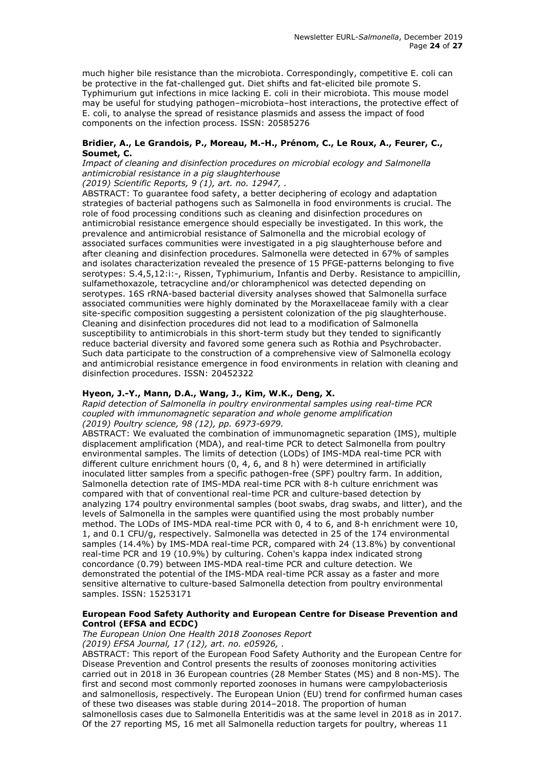much higher bile resistance than the microbiota. Correspondingly, competitive E. coli can be protective in the fat-challenged gut. Diet shifts and fat-elicited bile promote S. Typhimurium gut infections in mice lacking E. coli in their microbiota. This mouse model may be useful for studying pathogen–microbiota–host interactions, the protective effect of E. coli, to analyse the spread of resistance plasmids and assess the impact of food components on the infection process. ISSN: 20585276

# **Bridier, A., Le Grandois, P., Moreau, M.-H., Prénom, C., Le Roux, A., Feurer, C., Soumet, C.**

*Impact of cleaning and disinfection procedures on microbial ecology and Salmonella antimicrobial resistance in a pig slaughterhouse*

*(2019) Scientific Reports, 9 (1), art. no. 12947, .* 

ABSTRACT: To guarantee food safety, a better deciphering of ecology and adaptation strategies of bacterial pathogens such as Salmonella in food environments is crucial. The role of food processing conditions such as cleaning and disinfection procedures on antimicrobial resistance emergence should especially be investigated. In this work, the prevalence and antimicrobial resistance of Salmonella and the microbial ecology of associated surfaces communities were investigated in a pig slaughterhouse before and after cleaning and disinfection procedures. Salmonella were detected in 67% of samples and isolates characterization revealed the presence of 15 PFGE-patterns belonging to five serotypes: S.4,5,12:i:-, Rissen, Typhimurium, Infantis and Derby. Resistance to ampicillin, sulfamethoxazole, tetracycline and/or chloramphenicol was detected depending on serotypes. 16S rRNA-based bacterial diversity analyses showed that Salmonella surface associated communities were highly dominated by the Moraxellaceae family with a clear site-specific composition suggesting a persistent colonization of the pig slaughterhouse. Cleaning and disinfection procedures did not lead to a modification of Salmonella susceptibility to antimicrobials in this short-term study but they tended to significantly reduce bacterial diversity and favored some genera such as Rothia and Psychrobacter. Such data participate to the construction of a comprehensive view of Salmonella ecology and antimicrobial resistance emergence in food environments in relation with cleaning and disinfection procedures. ISSN: 20452322

# **Hyeon, J.-Y., Mann, D.A., Wang, J., Kim, W.K., Deng, X.**

*Rapid detection of Salmonella in poultry environmental samples using real-time PCR coupled with immunomagnetic separation and whole genome amplification (2019) Poultry science, 98 (12), pp. 6973-6979.* 

ABSTRACT: We evaluated the combination of immunomagnetic separation (IMS), multiple displacement amplification (MDA), and real-time PCR to detect Salmonella from poultry environmental samples. The limits of detection (LODs) of IMS-MDA real-time PCR with different culture enrichment hours (0, 4, 6, and 8 h) were determined in artificially inoculated litter samples from a specific pathogen-free (SPF) poultry farm. In addition, Salmonella detection rate of IMS-MDA real-time PCR with 8-h culture enrichment was compared with that of conventional real-time PCR and culture-based detection by analyzing 174 poultry environmental samples (boot swabs, drag swabs, and litter), and the levels of Salmonella in the samples were quantified using the most probably number method. The LODs of IMS-MDA real-time PCR with 0, 4 to 6, and 8-h enrichment were 10, 1, and 0.1 CFU/g, respectively. Salmonella was detected in 25 of the 174 environmental samples (14.4%) by IMS-MDA real-time PCR, compared with 24 (13.8%) by conventional real-time PCR and 19 (10.9%) by culturing. Cohen's kappa index indicated strong concordance (0.79) between IMS-MDA real-time PCR and culture detection. We demonstrated the potential of the IMS-MDA real-time PCR assay as a faster and more sensitive alternative to culture-based Salmonella detection from poultry environmental samples. ISSN: 15253171

# **European Food Safety Authority and European Centre for Disease Prevention and Control (EFSA and ECDC)**

*The European Union One Health 2018 Zoonoses Report (2019) EFSA Journal, 17 (12), art. no. e05926, .* 

ABSTRACT: This report of the European Food Safety Authority and the European Centre for Disease Prevention and Control presents the results of zoonoses monitoring activities carried out in 2018 in 36 European countries (28 Member States (MS) and 8 non-MS). The first and second most commonly reported zoonoses in humans were campylobacteriosis and salmonellosis, respectively. The European Union (EU) trend for confirmed human cases of these two diseases was stable during 2014–2018. The proportion of human

salmonellosis cases due to Salmonella Enteritidis was at the same level in 2018 as in 2017. Of the 27 reporting MS, 16 met all Salmonella reduction targets for poultry, whereas 11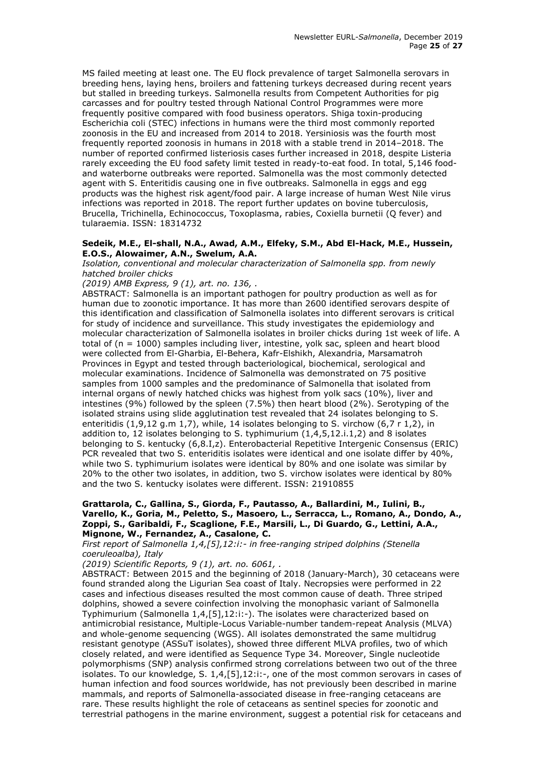MS failed meeting at least one. The EU flock prevalence of target Salmonella serovars in breeding hens, laying hens, broilers and fattening turkeys decreased during recent years but stalled in breeding turkeys. Salmonella results from Competent Authorities for pig carcasses and for poultry tested through National Control Programmes were more frequently positive compared with food business operators. Shiga toxin-producing Escherichia coli (STEC) infections in humans were the third most commonly reported zoonosis in the EU and increased from 2014 to 2018. Yersiniosis was the fourth most frequently reported zoonosis in humans in 2018 with a stable trend in 2014–2018. The number of reported confirmed listeriosis cases further increased in 2018, despite Listeria rarely exceeding the EU food safety limit tested in ready-to-eat food. In total, 5,146 foodand waterborne outbreaks were reported. Salmonella was the most commonly detected agent with S. Enteritidis causing one in five outbreaks. Salmonella in eggs and egg products was the highest risk agent/food pair. A large increase of human West Nile virus infections was reported in 2018. The report further updates on bovine tuberculosis, Brucella, Trichinella, Echinococcus, Toxoplasma, rabies, Coxiella burnetii (Q fever) and tularaemia. ISSN: 18314732

#### **Sedeik, M.E., El-shall, N.A., Awad, A.M., Elfeky, S.M., Abd El-Hack, M.E., Hussein, E.O.S., Alowaimer, A.N., Swelum, A.A.**

*Isolation, conventional and molecular characterization of Salmonella spp. from newly hatched broiler chicks*

*(2019) AMB Express, 9 (1), art. no. 136, .* 

ABSTRACT: Salmonella is an important pathogen for poultry production as well as for human due to zoonotic importance. It has more than 2600 identified serovars despite of this identification and classification of Salmonella isolates into different serovars is critical for study of incidence and surveillance. This study investigates the epidemiology and molecular characterization of Salmonella isolates in broiler chicks during 1st week of life. A total of (n = 1000) samples including liver, intestine, yolk sac, spleen and heart blood were collected from El-Gharbia, El-Behera, Kafr-Elshikh, Alexandria, Marsamatroh Provinces in Egypt and tested through bacteriological, biochemical, serological and molecular examinations. Incidence of Salmonella was demonstrated on 75 positive samples from 1000 samples and the predominance of Salmonella that isolated from internal organs of newly hatched chicks was highest from yolk sacs (10%), liver and intestines (9%) followed by the spleen (7.5%) then heart blood (2%). Serotyping of the isolated strains using slide agglutination test revealed that 24 isolates belonging to S. enteritidis (1,9,12 g.m 1,7), while, 14 isolates belonging to S. virchow (6,7 r 1,2), in addition to, 12 isolates belonging to S. typhimurium  $(1,4,5,12,i.1,2)$  and 8 isolates belonging to S. kentucky (6,8.I,z). Enterobacterial Repetitive Intergenic Consensus (ERIC) PCR revealed that two S. enteriditis isolates were identical and one isolate differ by 40%, while two S. typhimurium isolates were identical by 80% and one isolate was similar by 20% to the other two isolates, in addition, two S. virchow isolates were identical by 80% and the two S. kentucky isolates were different. ISSN: 21910855

#### **Grattarola, C., Gallina, S., Giorda, F., Pautasso, A., Ballardini, M., Iulini, B., Varello, K., Goria, M., Peletto, S., Masoero, L., Serracca, L., Romano, A., Dondo, A., Zoppi, S., Garibaldi, F., Scaglione, F.E., Marsili, L., Di Guardo, G., Lettini, A.A., Mignone, W., Fernandez, A., Casalone, C.**

*First report of Salmonella 1,4,[5],12:i:- in free-ranging striped dolphins (Stenella coeruleoalba), Italy*

*(2019) Scientific Reports, 9 (1), art. no. 6061, .* 

ABSTRACT: Between 2015 and the beginning of 2018 (January-March), 30 cetaceans were found stranded along the Ligurian Sea coast of Italy. Necropsies were performed in 22 cases and infectious diseases resulted the most common cause of death. Three striped dolphins, showed a severe coinfection involving the monophasic variant of Salmonella Typhimurium (Salmonella 1,4,[5],12:i:-). The isolates were characterized based on antimicrobial resistance, Multiple-Locus Variable-number tandem-repeat Analysis (MLVA) and whole-genome sequencing (WGS). All isolates demonstrated the same multidrug resistant genotype (ASSuT isolates), showed three different MLVA profiles, two of which closely related, and were identified as Sequence Type 34. Moreover, Single nucleotide polymorphisms (SNP) analysis confirmed strong correlations between two out of the three isolates. To our knowledge, S. 1,4,[5],12:i:-, one of the most common serovars in cases of human infection and food sources worldwide, has not previously been described in marine mammals, and reports of Salmonella-associated disease in free-ranging cetaceans are rare. These results highlight the role of cetaceans as sentinel species for zoonotic and terrestrial pathogens in the marine environment, suggest a potential risk for cetaceans and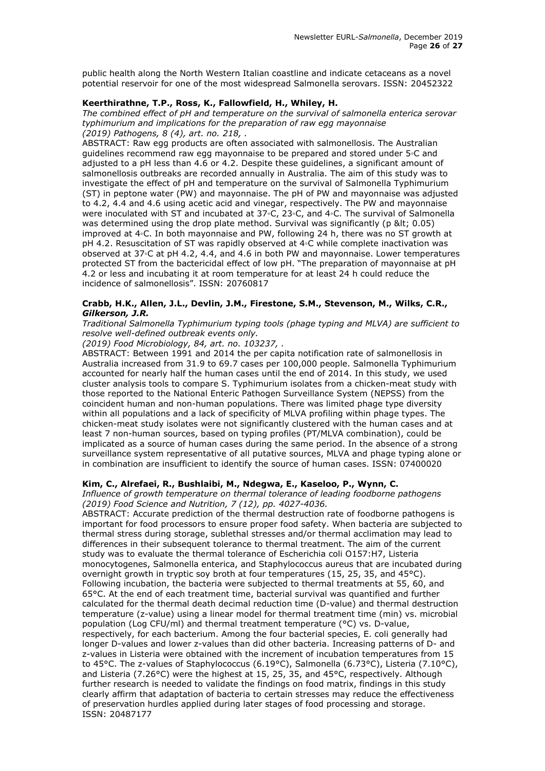public health along the North Western Italian coastline and indicate cetaceans as a novel potential reservoir for one of the most widespread Salmonella serovars. ISSN: 20452322

#### **Keerthirathne, T.P., Ross, K., Fallowfield, H., Whiley, H.**

*The combined effect of pH and temperature on the survival of salmonella enterica serovar typhimurium and implications for the preparation of raw egg mayonnaise (2019) Pathogens, 8 (4), art. no. 218, .* 

ABSTRACT: Raw egg products are often associated with salmonellosis. The Australian guidelines recommend raw egg mayonnaise to be prepared and stored under 5◦C and adjusted to a pH less than 4.6 or 4.2. Despite these guidelines, a significant amount of salmonellosis outbreaks are recorded annually in Australia. The aim of this study was to investigate the effect of pH and temperature on the survival of Salmonella Typhimurium (ST) in peptone water (PW) and mayonnaise. The pH of PW and mayonnaise was adjusted to 4.2, 4.4 and 4.6 using acetic acid and vinegar, respectively. The PW and mayonnaise were inoculated with ST and incubated at 37◦C, 23◦C, and 4◦C. The survival of Salmonella was determined using the drop plate method. Survival was significantly (p < 0.05) improved at 4◦C. In both mayonnaise and PW, following 24 h, there was no ST growth at pH 4.2. Resuscitation of ST was rapidly observed at 4◦C while complete inactivation was observed at 37◦C at pH 4.2, 4.4, and 4.6 in both PW and mayonnaise. Lower temperatures protected ST from the bactericidal effect of low pH. "The preparation of mayonnaise at pH 4.2 or less and incubating it at room temperature for at least 24 h could reduce the incidence of salmonellosis". ISSN: 20760817

#### **Crabb, H.K., Allen, J.L., Devlin, J.M., Firestone, S.M., Stevenson, M., Wilks, C.R.,**  *Gilkerson, J.R.*

*Traditional Salmonella Typhimurium typing tools (phage typing and MLVA) are sufficient to resolve well-defined outbreak events only.*

*(2019) Food Microbiology, 84, art. no. 103237, .* 

ABSTRACT: Between 1991 and 2014 the per capita notification rate of salmonellosis in Australia increased from 31.9 to 69.7 cases per 100,000 people. Salmonella Typhimurium accounted for nearly half the human cases until the end of 2014. In this study, we used cluster analysis tools to compare S. Typhimurium isolates from a chicken-meat study with those reported to the National Enteric Pathogen Surveillance System (NEPSS) from the coincident human and non-human populations. There was limited phage type diversity within all populations and a lack of specificity of MLVA profiling within phage types. The chicken-meat study isolates were not significantly clustered with the human cases and at least 7 non-human sources, based on typing profiles (PT/MLVA combination), could be implicated as a source of human cases during the same period. In the absence of a strong surveillance system representative of all putative sources, MLVA and phage typing alone or in combination are insufficient to identify the source of human cases. ISSN: 07400020

# **Kim, C., Alrefaei, R., Bushlaibi, M., Ndegwa, E., Kaseloo, P., Wynn, C.**

*Influence of growth temperature on thermal tolerance of leading foodborne pathogens (2019) Food Science and Nutrition, 7 (12), pp. 4027-4036.* 

ABSTRACT: Accurate prediction of the thermal destruction rate of foodborne pathogens is important for food processors to ensure proper food safety. When bacteria are subjected to thermal stress during storage, sublethal stresses and/or thermal acclimation may lead to differences in their subsequent tolerance to thermal treatment. The aim of the current study was to evaluate the thermal tolerance of Escherichia coli O157:H7, Listeria monocytogenes, Salmonella enterica, and Staphylococcus aureus that are incubated during overnight growth in tryptic soy broth at four temperatures (15, 25, 35, and 45°C). Following incubation, the bacteria were subjected to thermal treatments at 55, 60, and 65°C. At the end of each treatment time, bacterial survival was quantified and further calculated for the thermal death decimal reduction time (D-value) and thermal destruction temperature (z-value) using a linear model for thermal treatment time (min) vs. microbial population (Log CFU/ml) and thermal treatment temperature (°C) vs. D-value, respectively, for each bacterium. Among the four bacterial species, E. coli generally had longer D-values and lower z-values than did other bacteria. Increasing patterns of D- and z-values in Listeria were obtained with the increment of incubation temperatures from 15 to 45°C. The z-values of Staphylococcus (6.19°C), Salmonella (6.73°C), Listeria (7.10°C), and Listeria (7.26°C) were the highest at 15, 25, 35, and 45°C, respectively. Although further research is needed to validate the findings on food matrix, findings in this study clearly affirm that adaptation of bacteria to certain stresses may reduce the effectiveness of preservation hurdles applied during later stages of food processing and storage. ISSN: 20487177